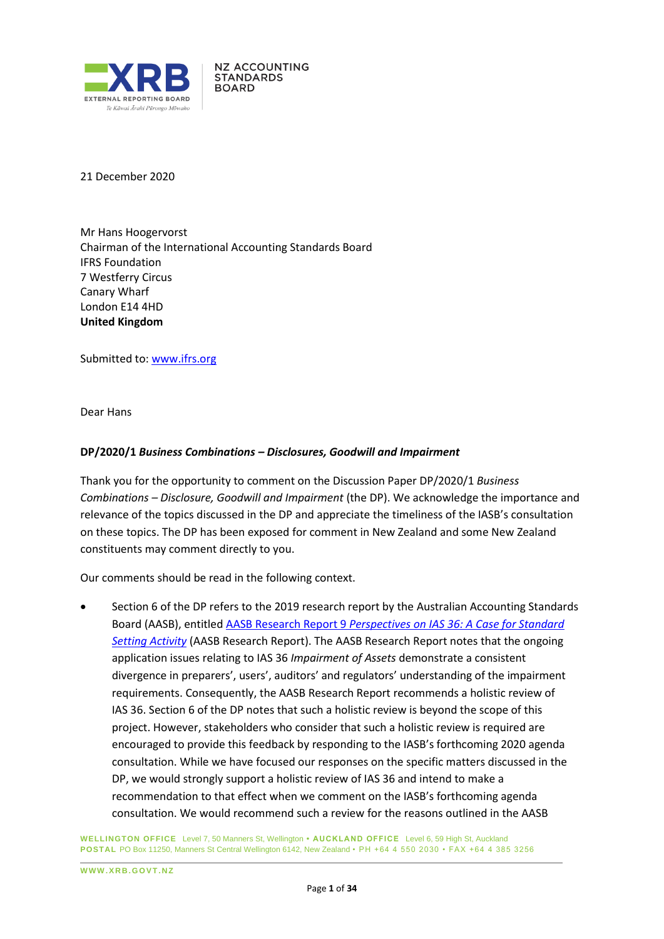

21 December 2020

Mr Hans Hoogervorst Chairman of the International Accounting Standards Board IFRS Foundation 7 Westferry Circus Canary Wharf London E14 4HD **United Kingdom**

**NZ ACCOUNTING STANDARDS BOARD** 

Submitted to: [www.ifrs.org](http://www.ifrs.org/)

Dear Hans

#### **DP/2020/1** *Business Combinations – Disclosures, Goodwill and Impairment*

Thank you for the opportunity to comment on the Discussion Paper DP/2020/1 *Business Combinations – Disclosure, Goodwill and Impairment* (the DP). We acknowledge the importance and relevance of the topics discussed in the DP and appreciate the timeliness of the IASB's consultation on these topics. The DP has been exposed for comment in New Zealand and some New Zealand constituents may comment directly to you.

Our comments should be read in the following context.

• Section 6 of the DP refers to the 2019 research report by the Australian Accounting Standards Board (AASB), entitled AASB Research Report 9 *[Perspectives on IAS 36: A Case for Standard](https://www.aasb.gov.au/admin/file/content102/c3/AASB_RR09_03-19Impairment_1552539258244.pdf)  [Setting Activity](https://www.aasb.gov.au/admin/file/content102/c3/AASB_RR09_03-19Impairment_1552539258244.pdf)* (AASB Research Report). The AASB Research Report notes that the ongoing application issues relating to IAS 36 *Impairment of Assets* demonstrate a consistent divergence in preparers', users', auditors' and regulators' understanding of the impairment requirements. Consequently, the AASB Research Report recommends a holistic review of IAS 36. Section 6 of the DP notes that such a holistic review is beyond the scope of this project. However, stakeholders who consider that such a holistic review is required are encouraged to provide this feedback by responding to the IASB's forthcoming 2020 agenda consultation. While we have focused our responses on the specific matters discussed in the DP, we would strongly support a holistic review of IAS 36 and intend to make a recommendation to that effect when we comment on the IASB's forthcoming agenda consultation. We would recommend such a review for the reasons outlined in the AASB

**WELLINGTON OFFICE** Level 7, 50 Manners St, Wellington **• AUCKLAND OFFICE** Level 6, 59 High St, Auckland **POSTAL** PO Box 11250, Manners St Central Wellington 6142, New Zealand • PH +64 4 550 2030 • FAX +64 4 385 3256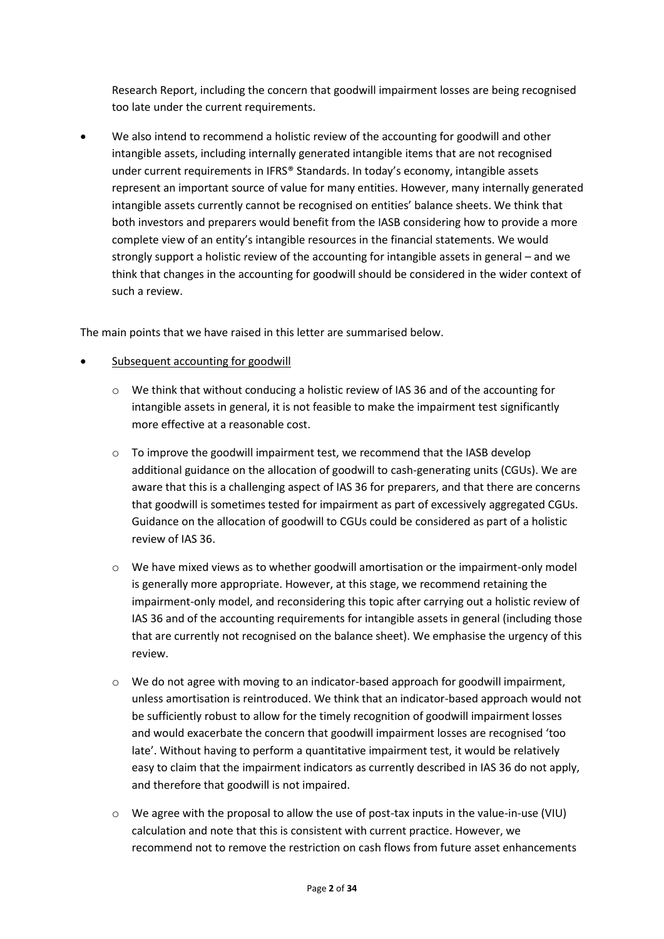Research Report, including the concern that goodwill impairment losses are being recognised too late under the current requirements.

• We also intend to recommend a holistic review of the accounting for goodwill and other intangible assets, including internally generated intangible items that are not recognised under current requirements in IFRS® Standards. In today's economy, intangible assets represent an important source of value for many entities. However, many internally generated intangible assets currently cannot be recognised on entities' balance sheets. We think that both investors and preparers would benefit from the IASB considering how to provide a more complete view of an entity's intangible resources in the financial statements. We would strongly support a holistic review of the accounting for intangible assets in general – and we think that changes in the accounting for goodwill should be considered in the wider context of such a review.

The main points that we have raised in this letter are summarised below.

- Subsequent accounting for goodwill
	- o We think that without conducing a holistic review of IAS 36 and of the accounting for intangible assets in general, it is not feasible to make the impairment test significantly more effective at a reasonable cost.
	- o To improve the goodwill impairment test, we recommend that the IASB develop additional guidance on the allocation of goodwill to cash-generating units (CGUs). We are aware that this is a challenging aspect of IAS 36 for preparers, and that there are concerns that goodwill is sometimes tested for impairment as part of excessively aggregated CGUs. Guidance on the allocation of goodwill to CGUs could be considered as part of a holistic review of IAS 36.
	- o We have mixed views as to whether goodwill amortisation or the impairment-only model is generally more appropriate. However, at this stage, we recommend retaining the impairment-only model, and reconsidering this topic after carrying out a holistic review of IAS 36 and of the accounting requirements for intangible assets in general (including those that are currently not recognised on the balance sheet). We emphasise the urgency of this review.
	- $\circ$  We do not agree with moving to an indicator-based approach for goodwill impairment, unless amortisation is reintroduced. We think that an indicator-based approach would not be sufficiently robust to allow for the timely recognition of goodwill impairment losses and would exacerbate the concern that goodwill impairment losses are recognised 'too late'. Without having to perform a quantitative impairment test, it would be relatively easy to claim that the impairment indicators as currently described in IAS 36 do not apply, and therefore that goodwill is not impaired.
	- $\circ$  We agree with the proposal to allow the use of post-tax inputs in the value-in-use (VIU) calculation and note that this is consistent with current practice. However, we recommend not to remove the restriction on cash flows from future asset enhancements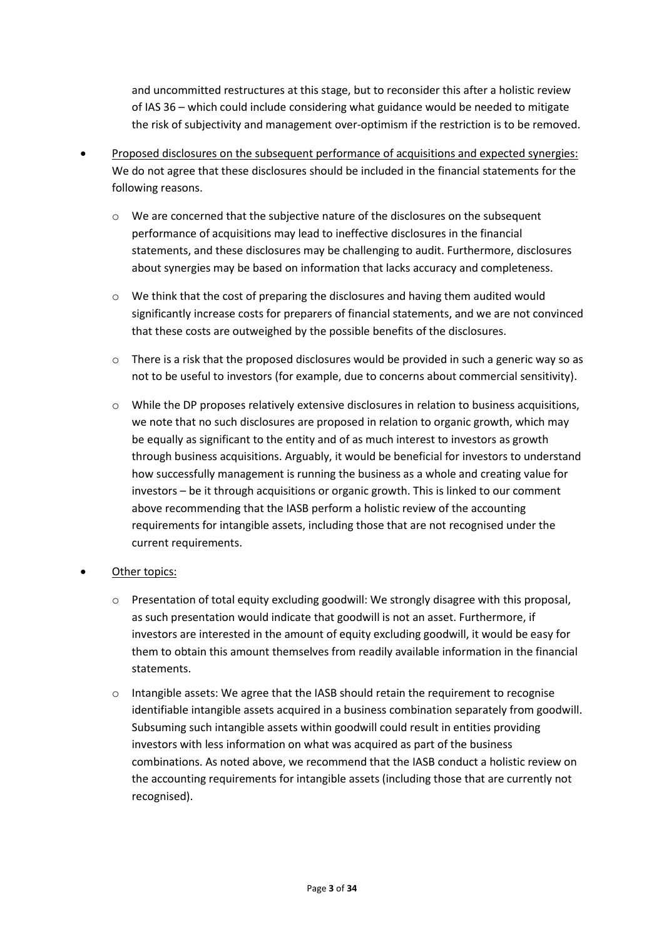and uncommitted restructures at this stage, but to reconsider this after a holistic review of IAS 36 – which could include considering what guidance would be needed to mitigate the risk of subjectivity and management over-optimism if the restriction is to be removed.

- Proposed disclosures on the subsequent performance of acquisitions and expected synergies: We do not agree that these disclosures should be included in the financial statements for the following reasons.
	- $\circ$  We are concerned that the subjective nature of the disclosures on the subsequent performance of acquisitions may lead to ineffective disclosures in the financial statements, and these disclosures may be challenging to audit. Furthermore, disclosures about synergies may be based on information that lacks accuracy and completeness.
	- o We think that the cost of preparing the disclosures and having them audited would significantly increase costs for preparers of financial statements, and we are not convinced that these costs are outweighed by the possible benefits of the disclosures.
	- o There is a risk that the proposed disclosures would be provided in such a generic way so as not to be useful to investors (for example, due to concerns about commercial sensitivity).
	- o While the DP proposes relatively extensive disclosures in relation to business acquisitions, we note that no such disclosures are proposed in relation to organic growth, which may be equally as significant to the entity and of as much interest to investors as growth through business acquisitions. Arguably, it would be beneficial for investors to understand how successfully management is running the business as a whole and creating value for investors – be it through acquisitions or organic growth. This is linked to our comment above recommending that the IASB perform a holistic review of the accounting requirements for intangible assets, including those that are not recognised under the current requirements.
- Other topics:
	- $\circ$  Presentation of total equity excluding goodwill: We strongly disagree with this proposal, as such presentation would indicate that goodwill is not an asset. Furthermore, if investors are interested in the amount of equity excluding goodwill, it would be easy for them to obtain this amount themselves from readily available information in the financial statements.
	- o Intangible assets: We agree that the IASB should retain the requirement to recognise identifiable intangible assets acquired in a business combination separately from goodwill. Subsuming such intangible assets within goodwill could result in entities providing investors with less information on what was acquired as part of the business combinations. As noted above, we recommend that the IASB conduct a holistic review on the accounting requirements for intangible assets (including those that are currently not recognised).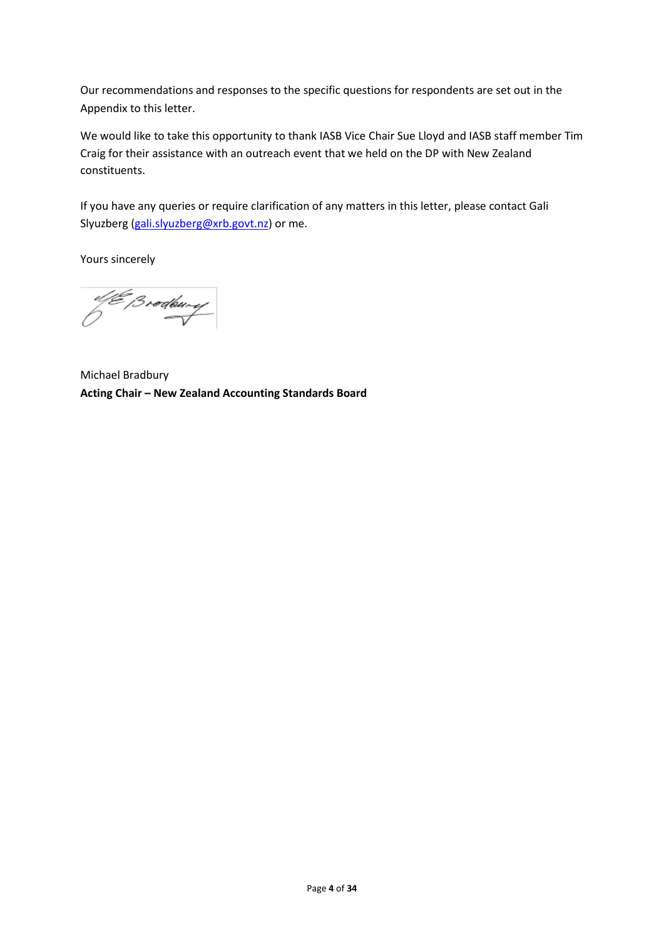Our recommendations and responses to the specific questions for respondents are set out in the Appendix to this letter.

We would like to take this opportunity to thank IASB Vice Chair Sue Lloyd and IASB staff member Tim Craig for their assistance with an outreach event that we held on the DP with New Zealand constituents.

If you have any queries or require clarification of any matters in this letter, please contact Gali Slyuzberg [\(gali.slyuzberg@xrb.govt.nz\)](mailto:gali.slyuzberg@xrb.govt.nz) or me.

Yours sincerely

ol (E Brødbury)<br>D

Michael Bradbury **Acting Chair – New Zealand Accounting Standards Board**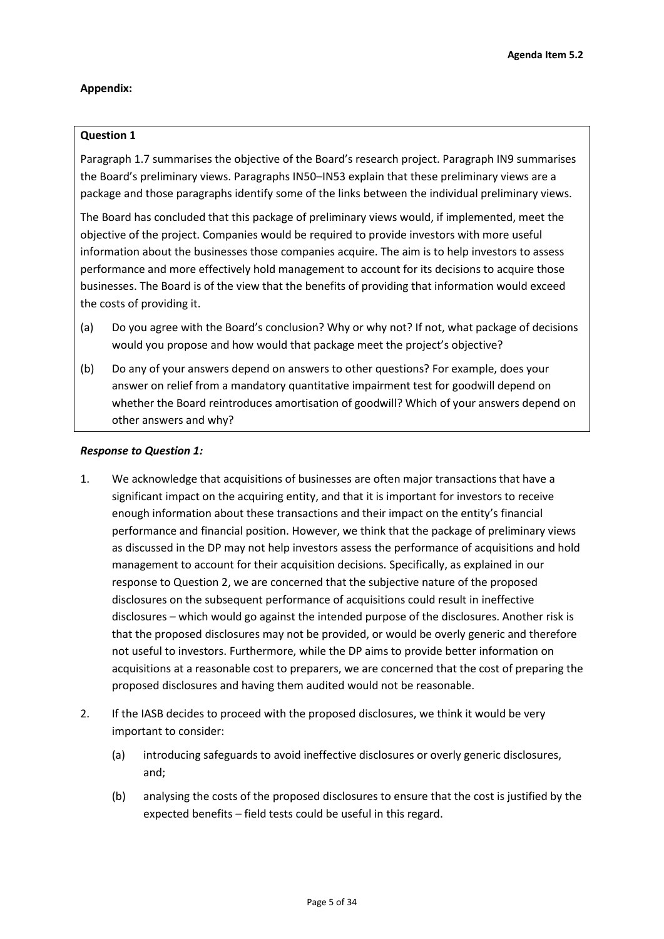### **Appendix:**

### **Question 1**

Paragraph 1.7 summarises the objective of the Board's research project. Paragraph IN9 summarises the Board's preliminary views. Paragraphs IN50–IN53 explain that these preliminary views are a package and those paragraphs identify some of the links between the individual preliminary views.

The Board has concluded that this package of preliminary views would, if implemented, meet the objective of the project. Companies would be required to provide investors with more useful information about the businesses those companies acquire. The aim is to help investors to assess performance and more effectively hold management to account for its decisions to acquire those businesses. The Board is of the view that the benefits of providing that information would exceed the costs of providing it.

- (a) Do you agree with the Board's conclusion? Why or why not? If not, what package of decisions would you propose and how would that package meet the project's objective?
- (b) Do any of your answers depend on answers to other questions? For example, does your answer on relief from a mandatory quantitative impairment test for goodwill depend on whether the Board reintroduces amortisation of goodwill? Which of your answers depend on other answers and why?

#### *Response to Question 1:*

- 1. We acknowledge that acquisitions of businesses are often major transactions that have a significant impact on the acquiring entity, and that it is important for investors to receive enough information about these transactions and their impact on the entity's financial performance and financial position. However, we think that the package of preliminary views as discussed in the DP may not help investors assess the performance of acquisitions and hold management to account for their acquisition decisions. Specifically, as explained in our response to Question 2, we are concerned that the subjective nature of the proposed disclosures on the subsequent performance of acquisitions could result in ineffective disclosures – which would go against the intended purpose of the disclosures. Another risk is that the proposed disclosures may not be provided, or would be overly generic and therefore not useful to investors. Furthermore, while the DP aims to provide better information on acquisitions at a reasonable cost to preparers, we are concerned that the cost of preparing the proposed disclosures and having them audited would not be reasonable.
- 2. If the IASB decides to proceed with the proposed disclosures, we think it would be very important to consider:
	- (a) introducing safeguards to avoid ineffective disclosures or overly generic disclosures, and;
	- (b) analysing the costs of the proposed disclosures to ensure that the cost is justified by the expected benefits – field tests could be useful in this regard.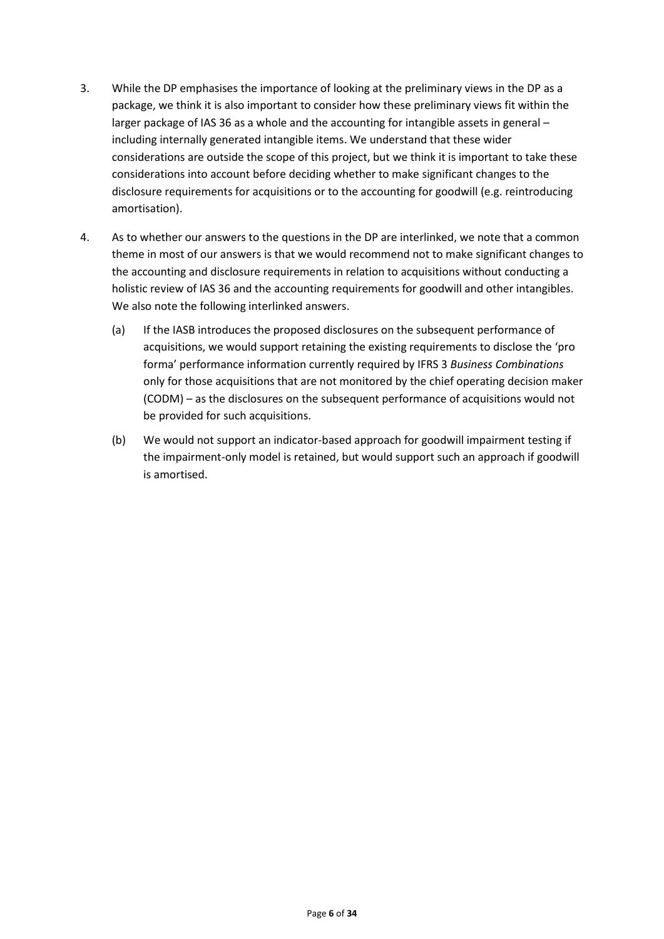- 3. While the DP emphasises the importance of looking at the preliminary views in the DP as a package, we think it is also important to consider how these preliminary views fit within the larger package of IAS 36 as a whole and the accounting for intangible assets in general – including internally generated intangible items. We understand that these wider considerations are outside the scope of this project, but we think it is important to take these considerations into account before deciding whether to make significant changes to the disclosure requirements for acquisitions or to the accounting for goodwill (e.g. reintroducing amortisation).
- 4. As to whether our answers to the questions in the DP are interlinked, we note that a common theme in most of our answers is that we would recommend not to make significant changes to the accounting and disclosure requirements in relation to acquisitions without conducting a holistic review of IAS 36 and the accounting requirements for goodwill and other intangibles. We also note the following interlinked answers.
	- (a) If the IASB introduces the proposed disclosures on the subsequent performance of acquisitions, we would support retaining the existing requirements to disclose the 'pro forma' performance information currently required by IFRS 3 *Business Combinations* only for those acquisitions that are not monitored by the chief operating decision maker (CODM) – as the disclosures on the subsequent performance of acquisitions would not be provided for such acquisitions.
	- (b) We would not support an indicator-based approach for goodwill impairment testing if the impairment-only model is retained, but would support such an approach if goodwill is amortised.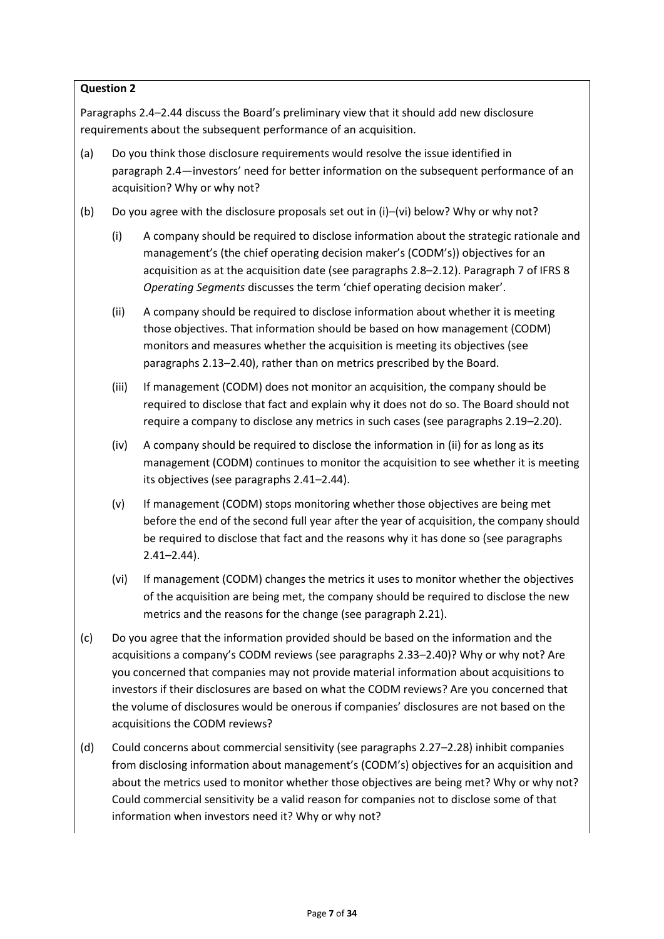Paragraphs 2.4–2.44 discuss the Board's preliminary view that it should add new disclosure requirements about the subsequent performance of an acquisition.

- (a) Do you think those disclosure requirements would resolve the issue identified in paragraph 2.4—investors' need for better information on the subsequent performance of an acquisition? Why or why not?
- (b) Do you agree with the disclosure proposals set out in (i)–(vi) below? Why or why not?
	- (i) A company should be required to disclose information about the strategic rationale and management's (the chief operating decision maker's (CODM's)) objectives for an acquisition as at the acquisition date (see paragraphs 2.8–2.12). Paragraph 7 of IFRS 8 *Operating Segments* discusses the term 'chief operating decision maker'.
	- (ii) A company should be required to disclose information about whether it is meeting those objectives. That information should be based on how management (CODM) monitors and measures whether the acquisition is meeting its objectives (see paragraphs 2.13–2.40), rather than on metrics prescribed by the Board.
	- (iii) If management (CODM) does not monitor an acquisition, the company should be required to disclose that fact and explain why it does not do so. The Board should not require a company to disclose any metrics in such cases (see paragraphs 2.19–2.20).
	- (iv) A company should be required to disclose the information in (ii) for as long as its management (CODM) continues to monitor the acquisition to see whether it is meeting its objectives (see paragraphs 2.41–2.44).
	- (v) If management (CODM) stops monitoring whether those objectives are being met before the end of the second full year after the year of acquisition, the company should be required to disclose that fact and the reasons why it has done so (see paragraphs 2.41–2.44).
	- (vi) If management (CODM) changes the metrics it uses to monitor whether the objectives of the acquisition are being met, the company should be required to disclose the new metrics and the reasons for the change (see paragraph 2.21).
- (c) Do you agree that the information provided should be based on the information and the acquisitions a company's CODM reviews (see paragraphs 2.33–2.40)? Why or why not? Are you concerned that companies may not provide material information about acquisitions to investors if their disclosures are based on what the CODM reviews? Are you concerned that the volume of disclosures would be onerous if companies' disclosures are not based on the acquisitions the CODM reviews?
- (d) Could concerns about commercial sensitivity (see paragraphs 2.27–2.28) inhibit companies from disclosing information about management's (CODM's) objectives for an acquisition and about the metrics used to monitor whether those objectives are being met? Why or why not? Could commercial sensitivity be a valid reason for companies not to disclose some of that information when investors need it? Why or why not?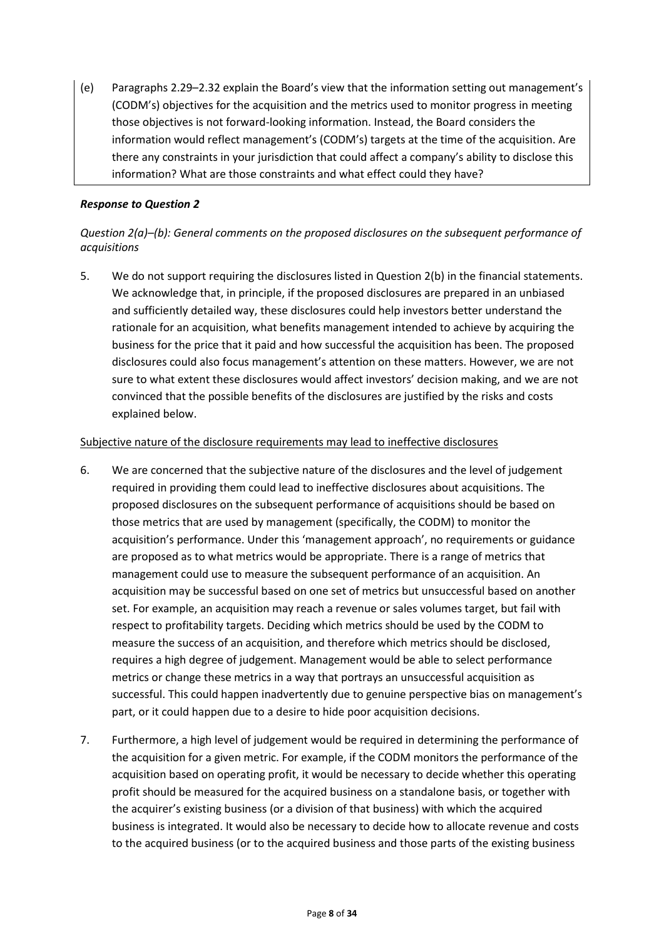(e) Paragraphs 2.29–2.32 explain the Board's view that the information setting out management's (CODM's) objectives for the acquisition and the metrics used to monitor progress in meeting those objectives is not forward-looking information. Instead, the Board considers the information would reflect management's (CODM's) targets at the time of the acquisition. Are there any constraints in your jurisdiction that could affect a company's ability to disclose this information? What are those constraints and what effect could they have?

# *Response to Question 2*

# *Question 2(a)–(b): General comments on the proposed disclosures on the subsequent performance of acquisitions*

5. We do not support requiring the disclosures listed in Question 2(b) in the financial statements. We acknowledge that, in principle, if the proposed disclosures are prepared in an unbiased and sufficiently detailed way, these disclosures could help investors better understand the rationale for an acquisition, what benefits management intended to achieve by acquiring the business for the price that it paid and how successful the acquisition has been. The proposed disclosures could also focus management's attention on these matters. However, we are not sure to what extent these disclosures would affect investors' decision making, and we are not convinced that the possible benefits of the disclosures are justified by the risks and costs explained below.

### Subjective nature of the disclosure requirements may lead to ineffective disclosures

- 6. We are concerned that the subjective nature of the disclosures and the level of judgement required in providing them could lead to ineffective disclosures about acquisitions. The proposed disclosures on the subsequent performance of acquisitions should be based on those metrics that are used by management (specifically, the CODM) to monitor the acquisition's performance. Under this 'management approach', no requirements or guidance are proposed as to what metrics would be appropriate. There is a range of metrics that management could use to measure the subsequent performance of an acquisition. An acquisition may be successful based on one set of metrics but unsuccessful based on another set. For example, an acquisition may reach a revenue or sales volumes target, but fail with respect to profitability targets. Deciding which metrics should be used by the CODM to measure the success of an acquisition, and therefore which metrics should be disclosed, requires a high degree of judgement. Management would be able to select performance metrics or change these metrics in a way that portrays an unsuccessful acquisition as successful. This could happen inadvertently due to genuine perspective bias on management's part, or it could happen due to a desire to hide poor acquisition decisions.
- 7. Furthermore, a high level of judgement would be required in determining the performance of the acquisition for a given metric. For example, if the CODM monitors the performance of the acquisition based on operating profit, it would be necessary to decide whether this operating profit should be measured for the acquired business on a standalone basis, or together with the acquirer's existing business (or a division of that business) with which the acquired business is integrated. It would also be necessary to decide how to allocate revenue and costs to the acquired business (or to the acquired business and those parts of the existing business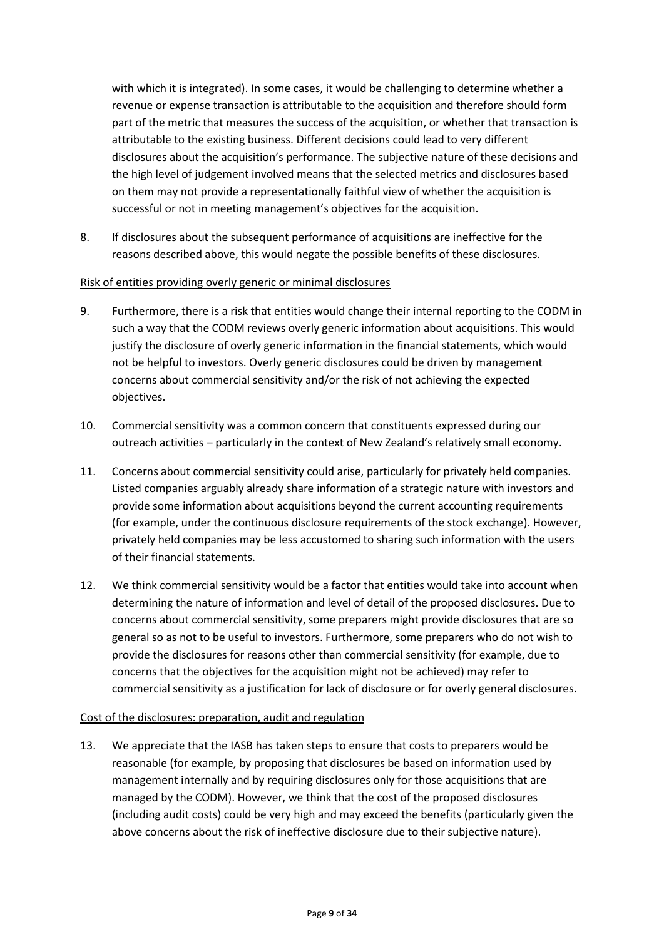with which it is integrated). In some cases, it would be challenging to determine whether a revenue or expense transaction is attributable to the acquisition and therefore should form part of the metric that measures the success of the acquisition, or whether that transaction is attributable to the existing business. Different decisions could lead to very different disclosures about the acquisition's performance. The subjective nature of these decisions and the high level of judgement involved means that the selected metrics and disclosures based on them may not provide a representationally faithful view of whether the acquisition is successful or not in meeting management's objectives for the acquisition.

8. If disclosures about the subsequent performance of acquisitions are ineffective for the reasons described above, this would negate the possible benefits of these disclosures.

#### Risk of entities providing overly generic or minimal disclosures

- 9. Furthermore, there is a risk that entities would change their internal reporting to the CODM in such a way that the CODM reviews overly generic information about acquisitions. This would justify the disclosure of overly generic information in the financial statements, which would not be helpful to investors. Overly generic disclosures could be driven by management concerns about commercial sensitivity and/or the risk of not achieving the expected objectives.
- 10. Commercial sensitivity was a common concern that constituents expressed during our outreach activities – particularly in the context of New Zealand's relatively small economy.
- 11. Concerns about commercial sensitivity could arise, particularly for privately held companies. Listed companies arguably already share information of a strategic nature with investors and provide some information about acquisitions beyond the current accounting requirements (for example, under the continuous disclosure requirements of the stock exchange). However, privately held companies may be less accustomed to sharing such information with the users of their financial statements.
- 12. We think commercial sensitivity would be a factor that entities would take into account when determining the nature of information and level of detail of the proposed disclosures. Due to concerns about commercial sensitivity, some preparers might provide disclosures that are so general so as not to be useful to investors. Furthermore, some preparers who do not wish to provide the disclosures for reasons other than commercial sensitivity (for example, due to concerns that the objectives for the acquisition might not be achieved) may refer to commercial sensitivity as a justification for lack of disclosure or for overly general disclosures.

#### Cost of the disclosures: preparation, audit and regulation

13. We appreciate that the IASB has taken steps to ensure that costs to preparers would be reasonable (for example, by proposing that disclosures be based on information used by management internally and by requiring disclosures only for those acquisitions that are managed by the CODM). However, we think that the cost of the proposed disclosures (including audit costs) could be very high and may exceed the benefits (particularly given the above concerns about the risk of ineffective disclosure due to their subjective nature).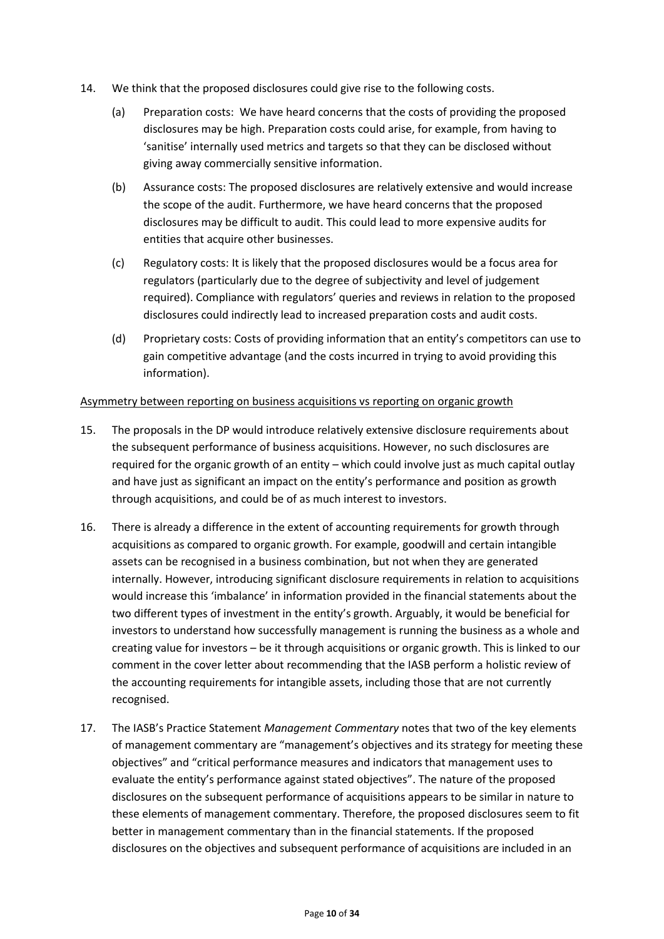- 14. We think that the proposed disclosures could give rise to the following costs.
	- (a) Preparation costs: We have heard concerns that the costs of providing the proposed disclosures may be high. Preparation costs could arise, for example, from having to 'sanitise' internally used metrics and targets so that they can be disclosed without giving away commercially sensitive information.
	- (b) Assurance costs: The proposed disclosures are relatively extensive and would increase the scope of the audit. Furthermore, we have heard concerns that the proposed disclosures may be difficult to audit. This could lead to more expensive audits for entities that acquire other businesses.
	- (c) Regulatory costs: It is likely that the proposed disclosures would be a focus area for regulators (particularly due to the degree of subjectivity and level of judgement required). Compliance with regulators' queries and reviews in relation to the proposed disclosures could indirectly lead to increased preparation costs and audit costs.
	- (d) Proprietary costs: Costs of providing information that an entity's competitors can use to gain competitive advantage (and the costs incurred in trying to avoid providing this information).

#### Asymmetry between reporting on business acquisitions vs reporting on organic growth

- 15. The proposals in the DP would introduce relatively extensive disclosure requirements about the subsequent performance of business acquisitions. However, no such disclosures are required for the organic growth of an entity – which could involve just as much capital outlay and have just as significant an impact on the entity's performance and position as growth through acquisitions, and could be of as much interest to investors.
- 16. There is already a difference in the extent of accounting requirements for growth through acquisitions as compared to organic growth. For example, goodwill and certain intangible assets can be recognised in a business combination, but not when they are generated internally. However, introducing significant disclosure requirements in relation to acquisitions would increase this 'imbalance' in information provided in the financial statements about the two different types of investment in the entity's growth. Arguably, it would be beneficial for investors to understand how successfully management is running the business as a whole and creating value for investors – be it through acquisitions or organic growth. This is linked to our comment in the cover letter about recommending that the IASB perform a holistic review of the accounting requirements for intangible assets, including those that are not currently recognised.
- 17. The IASB's Practice Statement *Management Commentary* notes that two of the key elements of management commentary are "management's objectives and its strategy for meeting these objectives" and "critical performance measures and indicators that management uses to evaluate the entity's performance against stated objectives". The nature of the proposed disclosures on the subsequent performance of acquisitions appears to be similar in nature to these elements of management commentary. Therefore, the proposed disclosures seem to fit better in management commentary than in the financial statements. If the proposed disclosures on the objectives and subsequent performance of acquisitions are included in an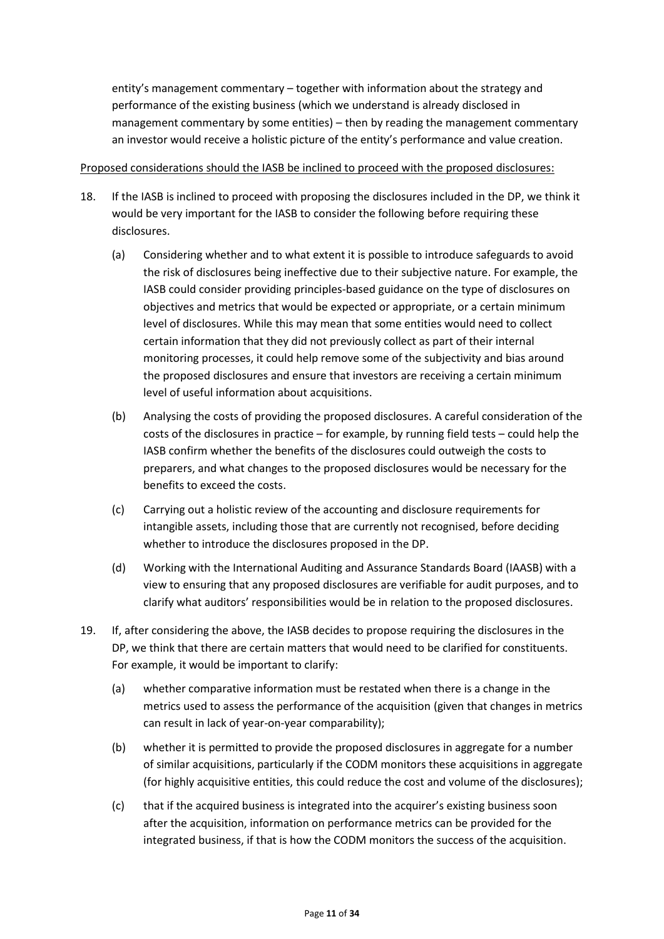entity's management commentary – together with information about the strategy and performance of the existing business (which we understand is already disclosed in management commentary by some entities) – then by reading the management commentary an investor would receive a holistic picture of the entity's performance and value creation.

#### Proposed considerations should the IASB be inclined to proceed with the proposed disclosures:

- 18. If the IASB is inclined to proceed with proposing the disclosures included in the DP, we think it would be very important for the IASB to consider the following before requiring these disclosures.
	- (a) Considering whether and to what extent it is possible to introduce safeguards to avoid the risk of disclosures being ineffective due to their subjective nature. For example, the IASB could consider providing principles-based guidance on the type of disclosures on objectives and metrics that would be expected or appropriate, or a certain minimum level of disclosures. While this may mean that some entities would need to collect certain information that they did not previously collect as part of their internal monitoring processes, it could help remove some of the subjectivity and bias around the proposed disclosures and ensure that investors are receiving a certain minimum level of useful information about acquisitions.
	- (b) Analysing the costs of providing the proposed disclosures. A careful consideration of the costs of the disclosures in practice – for example, by running field tests – could help the IASB confirm whether the benefits of the disclosures could outweigh the costs to preparers, and what changes to the proposed disclosures would be necessary for the benefits to exceed the costs.
	- (c) Carrying out a holistic review of the accounting and disclosure requirements for intangible assets, including those that are currently not recognised, before deciding whether to introduce the disclosures proposed in the DP.
	- (d) Working with the International Auditing and Assurance Standards Board (IAASB) with a view to ensuring that any proposed disclosures are verifiable for audit purposes, and to clarify what auditors' responsibilities would be in relation to the proposed disclosures.
- 19. If, after considering the above, the IASB decides to propose requiring the disclosures in the DP, we think that there are certain matters that would need to be clarified for constituents. For example, it would be important to clarify:
	- (a) whether comparative information must be restated when there is a change in the metrics used to assess the performance of the acquisition (given that changes in metrics can result in lack of year-on-year comparability);
	- (b) whether it is permitted to provide the proposed disclosures in aggregate for a number of similar acquisitions, particularly if the CODM monitors these acquisitions in aggregate (for highly acquisitive entities, this could reduce the cost and volume of the disclosures);
	- (c) that if the acquired business is integrated into the acquirer's existing business soon after the acquisition, information on performance metrics can be provided for the integrated business, if that is how the CODM monitors the success of the acquisition.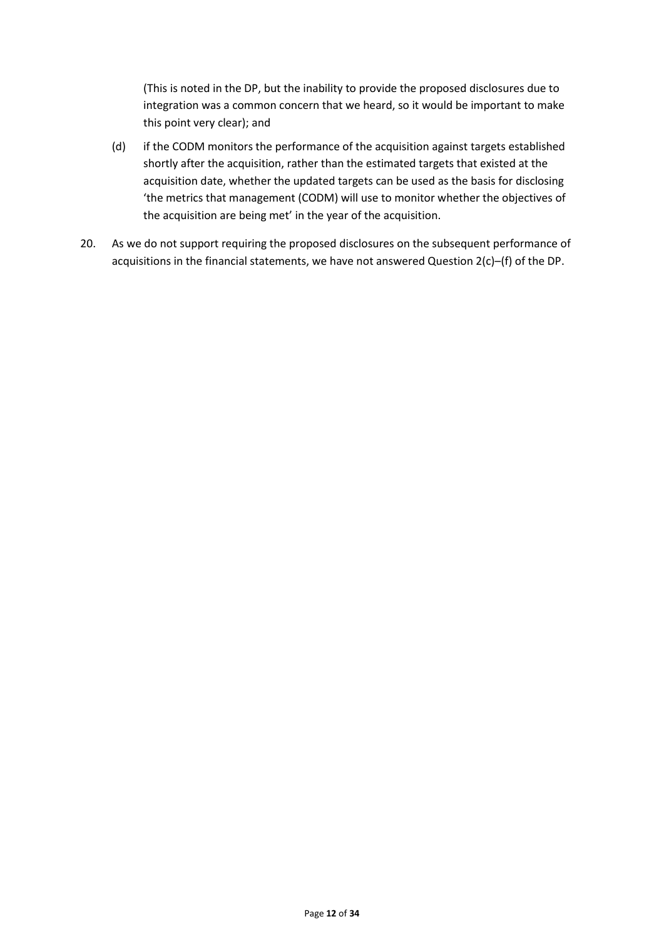(This is noted in the DP, but the inability to provide the proposed disclosures due to integration was a common concern that we heard, so it would be important to make this point very clear); and

- (d) if the CODM monitors the performance of the acquisition against targets established shortly after the acquisition, rather than the estimated targets that existed at the acquisition date, whether the updated targets can be used as the basis for disclosing 'the metrics that management (CODM) will use to monitor whether the objectives of the acquisition are being met' in the year of the acquisition.
- 20. As we do not support requiring the proposed disclosures on the subsequent performance of acquisitions in the financial statements, we have not answered Question 2(c)–(f) of the DP.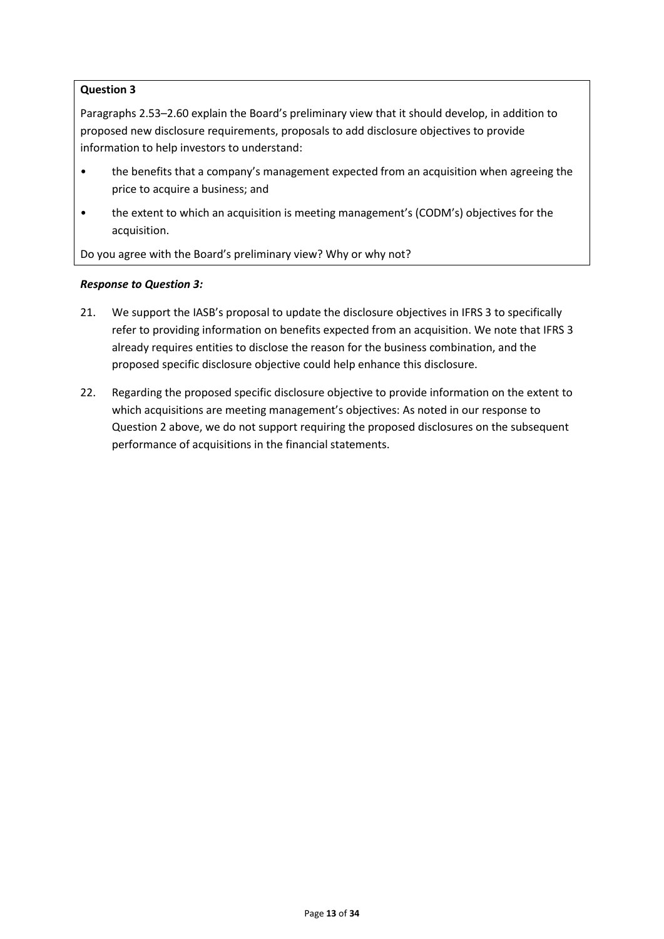Paragraphs 2.53–2.60 explain the Board's preliminary view that it should develop, in addition to proposed new disclosure requirements, proposals to add disclosure objectives to provide information to help investors to understand:

- the benefits that a company's management expected from an acquisition when agreeing the price to acquire a business; and
- the extent to which an acquisition is meeting management's (CODM's) objectives for the acquisition.

Do you agree with the Board's preliminary view? Why or why not?

### *Response to Question 3:*

- 21. We support the IASB's proposal to update the disclosure objectives in IFRS 3 to specifically refer to providing information on benefits expected from an acquisition. We note that IFRS 3 already requires entities to disclose the reason for the business combination, and the proposed specific disclosure objective could help enhance this disclosure.
- 22. Regarding the proposed specific disclosure objective to provide information on the extent to which acquisitions are meeting management's objectives: As noted in our response to Question 2 above, we do not support requiring the proposed disclosures on the subsequent performance of acquisitions in the financial statements.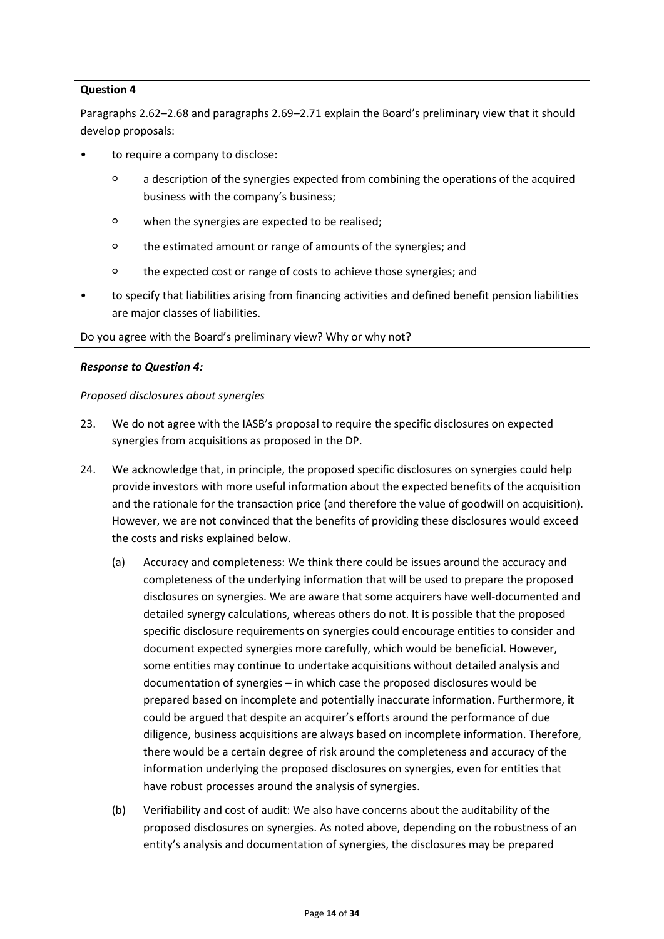Paragraphs 2.62–2.68 and paragraphs 2.69–2.71 explain the Board's preliminary view that it should develop proposals:

- to require a company to disclose:
	- a description of the synergies expected from combining the operations of the acquired business with the company's business;
	- when the synergies are expected to be realised;
	- the estimated amount or range of amounts of the synergies; and
	- the expected cost or range of costs to achieve those synergies; and
- to specify that liabilities arising from financing activities and defined benefit pension liabilities are major classes of liabilities.

Do you agree with the Board's preliminary view? Why or why not?

#### *Response to Question 4:*

#### *Proposed disclosures about synergies*

- 23. We do not agree with the IASB's proposal to require the specific disclosures on expected synergies from acquisitions as proposed in the DP.
- 24. We acknowledge that, in principle, the proposed specific disclosures on synergies could help provide investors with more useful information about the expected benefits of the acquisition and the rationale for the transaction price (and therefore the value of goodwill on acquisition). However, we are not convinced that the benefits of providing these disclosures would exceed the costs and risks explained below.
	- (a) Accuracy and completeness: We think there could be issues around the accuracy and completeness of the underlying information that will be used to prepare the proposed disclosures on synergies. We are aware that some acquirers have well-documented and detailed synergy calculations, whereas others do not. It is possible that the proposed specific disclosure requirements on synergies could encourage entities to consider and document expected synergies more carefully, which would be beneficial. However, some entities may continue to undertake acquisitions without detailed analysis and documentation of synergies – in which case the proposed disclosures would be prepared based on incomplete and potentially inaccurate information. Furthermore, it could be argued that despite an acquirer's efforts around the performance of due diligence, business acquisitions are always based on incomplete information. Therefore, there would be a certain degree of risk around the completeness and accuracy of the information underlying the proposed disclosures on synergies, even for entities that have robust processes around the analysis of synergies.
	- (b) Verifiability and cost of audit: We also have concerns about the auditability of the proposed disclosures on synergies. As noted above, depending on the robustness of an entity's analysis and documentation of synergies, the disclosures may be prepared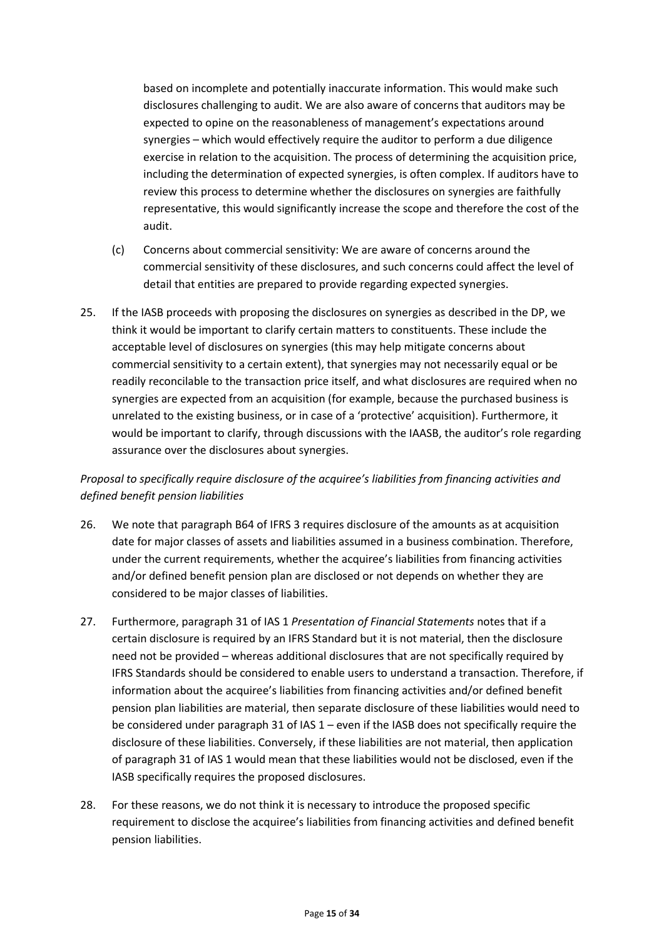based on incomplete and potentially inaccurate information. This would make such disclosures challenging to audit. We are also aware of concerns that auditors may be expected to opine on the reasonableness of management's expectations around synergies – which would effectively require the auditor to perform a due diligence exercise in relation to the acquisition. The process of determining the acquisition price, including the determination of expected synergies, is often complex. If auditors have to review this process to determine whether the disclosures on synergies are faithfully representative, this would significantly increase the scope and therefore the cost of the audit.

- (c) Concerns about commercial sensitivity: We are aware of concerns around the commercial sensitivity of these disclosures, and such concerns could affect the level of detail that entities are prepared to provide regarding expected synergies.
- 25. If the IASB proceeds with proposing the disclosures on synergies as described in the DP, we think it would be important to clarify certain matters to constituents. These include the acceptable level of disclosures on synergies (this may help mitigate concerns about commercial sensitivity to a certain extent), that synergies may not necessarily equal or be readily reconcilable to the transaction price itself, and what disclosures are required when no synergies are expected from an acquisition (for example, because the purchased business is unrelated to the existing business, or in case of a 'protective' acquisition). Furthermore, it would be important to clarify, through discussions with the IAASB, the auditor's role regarding assurance over the disclosures about synergies.

# *Proposal to specifically require disclosure of the acquiree's liabilities from financing activities and defined benefit pension liabilities*

- 26. We note that paragraph B64 of IFRS 3 requires disclosure of the amounts as at acquisition date for major classes of assets and liabilities assumed in a business combination. Therefore, under the current requirements, whether the acquiree's liabilities from financing activities and/or defined benefit pension plan are disclosed or not depends on whether they are considered to be major classes of liabilities.
- 27. Furthermore, paragraph 31 of IAS 1 *Presentation of Financial Statements* notes that if a certain disclosure is required by an IFRS Standard but it is not material, then the disclosure need not be provided – whereas additional disclosures that are not specifically required by IFRS Standards should be considered to enable users to understand a transaction. Therefore, if information about the acquiree's liabilities from financing activities and/or defined benefit pension plan liabilities are material, then separate disclosure of these liabilities would need to be considered under paragraph 31 of IAS 1 – even if the IASB does not specifically require the disclosure of these liabilities. Conversely, if these liabilities are not material, then application of paragraph 31 of IAS 1 would mean that these liabilities would not be disclosed, even if the IASB specifically requires the proposed disclosures.
- 28. For these reasons, we do not think it is necessary to introduce the proposed specific requirement to disclose the acquiree's liabilities from financing activities and defined benefit pension liabilities.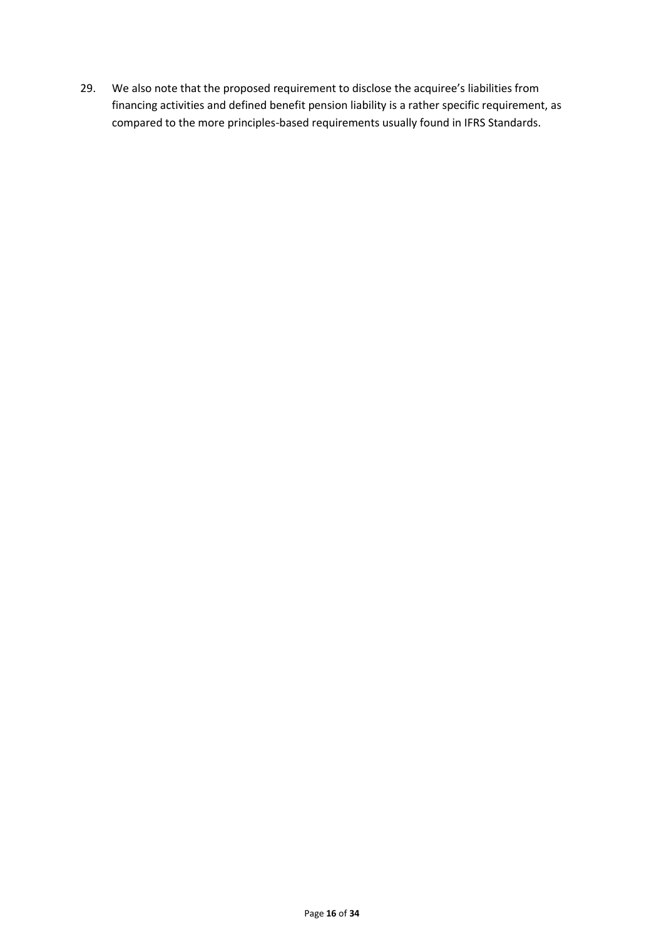29. We also note that the proposed requirement to disclose the acquiree's liabilities from financing activities and defined benefit pension liability is a rather specific requirement, as compared to the more principles-based requirements usually found in IFRS Standards.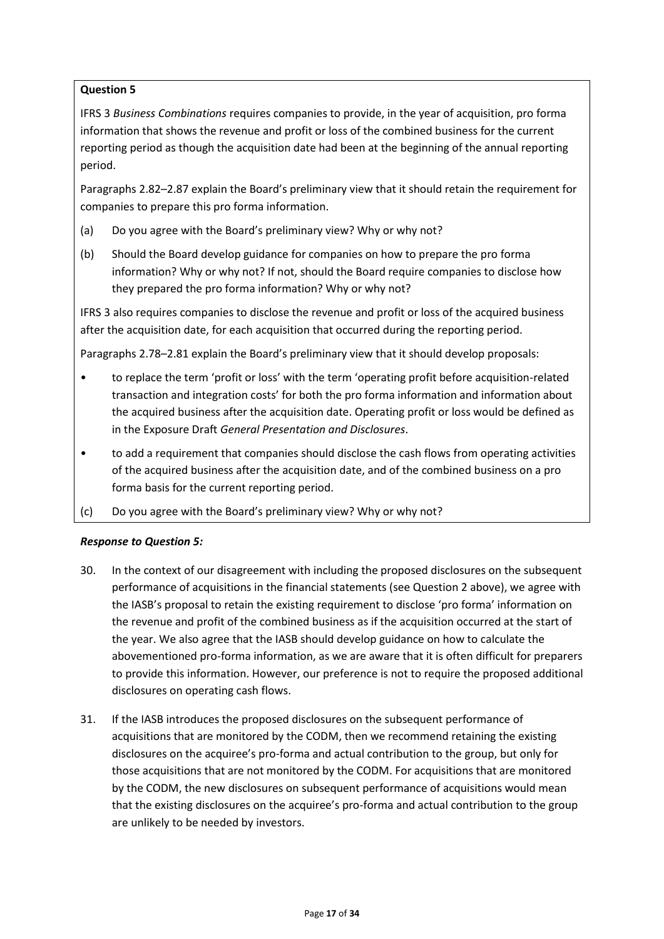IFRS 3 *Business Combinations* requires companies to provide, in the year of acquisition, pro forma information that shows the revenue and profit or loss of the combined business for the current reporting period as though the acquisition date had been at the beginning of the annual reporting period.

Paragraphs 2.82–2.87 explain the Board's preliminary view that it should retain the requirement for companies to prepare this pro forma information.

- (a) Do you agree with the Board's preliminary view? Why or why not?
- (b) Should the Board develop guidance for companies on how to prepare the pro forma information? Why or why not? If not, should the Board require companies to disclose how they prepared the pro forma information? Why or why not?

IFRS 3 also requires companies to disclose the revenue and profit or loss of the acquired business after the acquisition date, for each acquisition that occurred during the reporting period.

Paragraphs 2.78–2.81 explain the Board's preliminary view that it should develop proposals:

- to replace the term 'profit or loss' with the term 'operating profit before acquisition-related transaction and integration costs' for both the pro forma information and information about the acquired business after the acquisition date. Operating profit or loss would be defined as in the Exposure Draft *General Presentation and Disclosures*.
- to add a requirement that companies should disclose the cash flows from operating activities of the acquired business after the acquisition date, and of the combined business on a pro forma basis for the current reporting period.
- (c) Do you agree with the Board's preliminary view? Why or why not?

# *Response to Question 5:*

- 30. In the context of our disagreement with including the proposed disclosures on the subsequent performance of acquisitions in the financial statements (see Question 2 above), we agree with the IASB's proposal to retain the existing requirement to disclose 'pro forma' information on the revenue and profit of the combined business as if the acquisition occurred at the start of the year. We also agree that the IASB should develop guidance on how to calculate the abovementioned pro-forma information, as we are aware that it is often difficult for preparers to provide this information. However, our preference is not to require the proposed additional disclosures on operating cash flows.
- 31. If the IASB introduces the proposed disclosures on the subsequent performance of acquisitions that are monitored by the CODM, then we recommend retaining the existing disclosures on the acquiree's pro-forma and actual contribution to the group, but only for those acquisitions that are not monitored by the CODM. For acquisitions that are monitored by the CODM, the new disclosures on subsequent performance of acquisitions would mean that the existing disclosures on the acquiree's pro-forma and actual contribution to the group are unlikely to be needed by investors.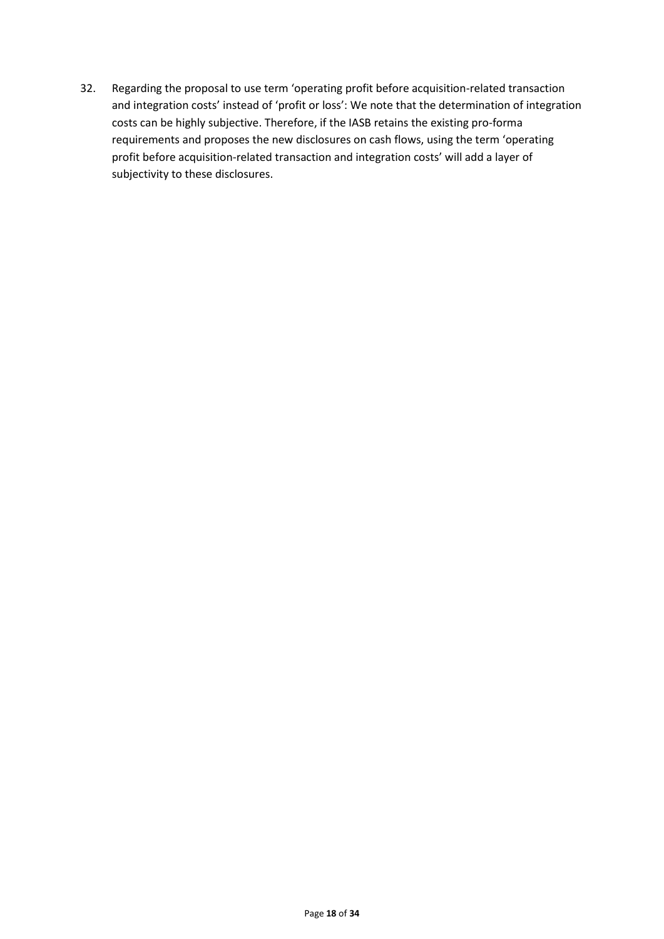32. Regarding the proposal to use term 'operating profit before acquisition-related transaction and integration costs' instead of 'profit or loss': We note that the determination of integration costs can be highly subjective. Therefore, if the IASB retains the existing pro-forma requirements and proposes the new disclosures on cash flows, using the term 'operating profit before acquisition-related transaction and integration costs' will add a layer of subjectivity to these disclosures.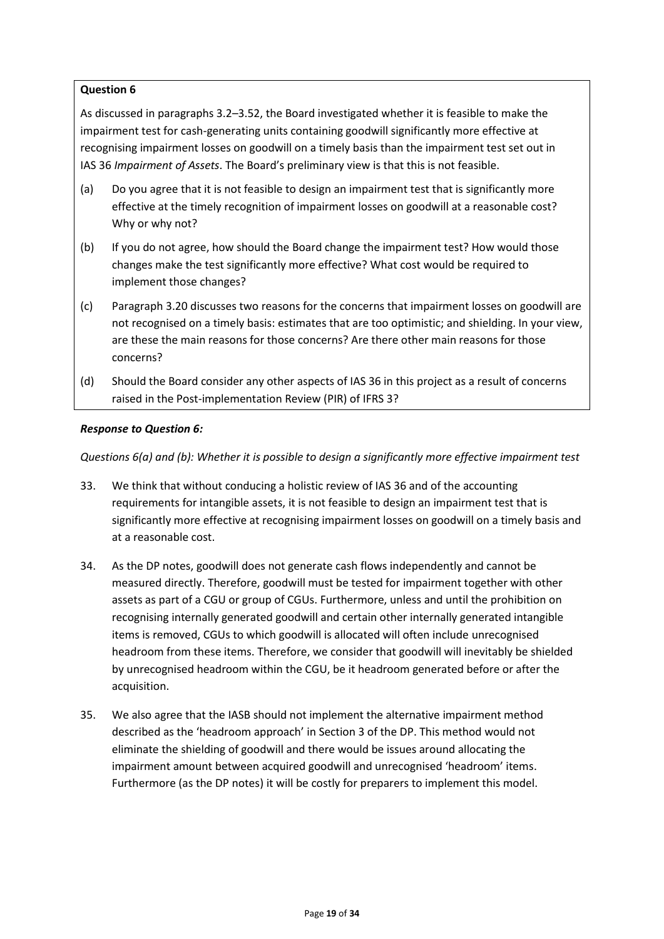As discussed in paragraphs 3.2–3.52, the Board investigated whether it is feasible to make the impairment test for cash-generating units containing goodwill significantly more effective at recognising impairment losses on goodwill on a timely basis than the impairment test set out in IAS 36 *Impairment of Assets*. The Board's preliminary view is that this is not feasible.

- (a) Do you agree that it is not feasible to design an impairment test that is significantly more effective at the timely recognition of impairment losses on goodwill at a reasonable cost? Why or why not?
- (b) If you do not agree, how should the Board change the impairment test? How would those changes make the test significantly more effective? What cost would be required to implement those changes?
- (c) Paragraph 3.20 discusses two reasons for the concerns that impairment losses on goodwill are not recognised on a timely basis: estimates that are too optimistic; and shielding. In your view, are these the main reasons for those concerns? Are there other main reasons for those concerns?
- (d) Should the Board consider any other aspects of IAS 36 in this project as a result of concerns raised in the Post-implementation Review (PIR) of IFRS 3?

# *Response to Question 6:*

*Questions 6(a) and (b): Whether it is possible to design a significantly more effective impairment test*

- 33. We think that without conducing a holistic review of IAS 36 and of the accounting requirements for intangible assets, it is not feasible to design an impairment test that is significantly more effective at recognising impairment losses on goodwill on a timely basis and at a reasonable cost.
- 34. As the DP notes, goodwill does not generate cash flows independently and cannot be measured directly. Therefore, goodwill must be tested for impairment together with other assets as part of a CGU or group of CGUs. Furthermore, unless and until the prohibition on recognising internally generated goodwill and certain other internally generated intangible items is removed, CGUs to which goodwill is allocated will often include unrecognised headroom from these items. Therefore, we consider that goodwill will inevitably be shielded by unrecognised headroom within the CGU, be it headroom generated before or after the acquisition.
- 35. We also agree that the IASB should not implement the alternative impairment method described as the 'headroom approach' in Section 3 of the DP. This method would not eliminate the shielding of goodwill and there would be issues around allocating the impairment amount between acquired goodwill and unrecognised 'headroom' items. Furthermore (as the DP notes) it will be costly for preparers to implement this model.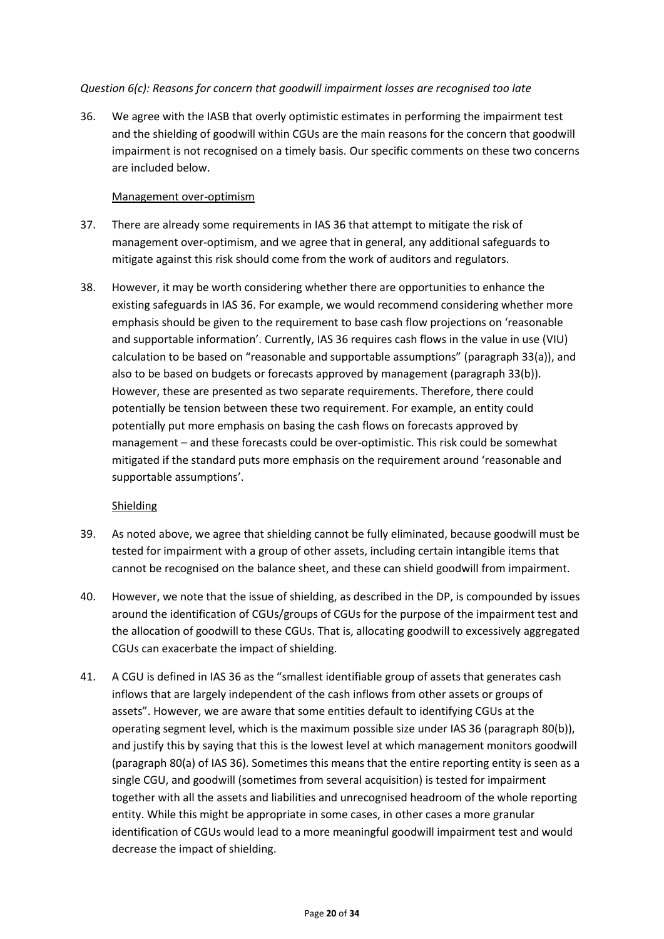### *Question 6(c): Reasons for concern that goodwill impairment losses are recognised too late*

36. We agree with the IASB that overly optimistic estimates in performing the impairment test and the shielding of goodwill within CGUs are the main reasons for the concern that goodwill impairment is not recognised on a timely basis. Our specific comments on these two concerns are included below.

### Management over-optimism

- 37. There are already some requirements in IAS 36 that attempt to mitigate the risk of management over-optimism, and we agree that in general, any additional safeguards to mitigate against this risk should come from the work of auditors and regulators.
- 38. However, it may be worth considering whether there are opportunities to enhance the existing safeguards in IAS 36. For example, we would recommend considering whether more emphasis should be given to the requirement to base cash flow projections on 'reasonable and supportable information'. Currently, IAS 36 requires cash flows in the value in use (VIU) calculation to be based on "reasonable and supportable assumptions" (paragraph 33(a)), and also to be based on budgets or forecasts approved by management (paragraph 33(b)). However, these are presented as two separate requirements. Therefore, there could potentially be tension between these two requirement. For example, an entity could potentially put more emphasis on basing the cash flows on forecasts approved by management – and these forecasts could be over-optimistic. This risk could be somewhat mitigated if the standard puts more emphasis on the requirement around 'reasonable and supportable assumptions'.

# **Shielding**

- 39. As noted above, we agree that shielding cannot be fully eliminated, because goodwill must be tested for impairment with a group of other assets, including certain intangible items that cannot be recognised on the balance sheet, and these can shield goodwill from impairment.
- 40. However, we note that the issue of shielding, as described in the DP, is compounded by issues around the identification of CGUs/groups of CGUs for the purpose of the impairment test and the allocation of goodwill to these CGUs. That is, allocating goodwill to excessively aggregated CGUs can exacerbate the impact of shielding.
- 41. A CGU is defined in IAS 36 as the "smallest identifiable group of assets that generates cash inflows that are largely independent of the cash inflows from other assets or groups of assets". However, we are aware that some entities default to identifying CGUs at the operating segment level, which is the maximum possible size under IAS 36 (paragraph 80(b)), and justify this by saying that this is the lowest level at which management monitors goodwill (paragraph 80(a) of IAS 36). Sometimes this means that the entire reporting entity is seen as a single CGU, and goodwill (sometimes from several acquisition) is tested for impairment together with all the assets and liabilities and unrecognised headroom of the whole reporting entity. While this might be appropriate in some cases, in other cases a more granular identification of CGUs would lead to a more meaningful goodwill impairment test and would decrease the impact of shielding.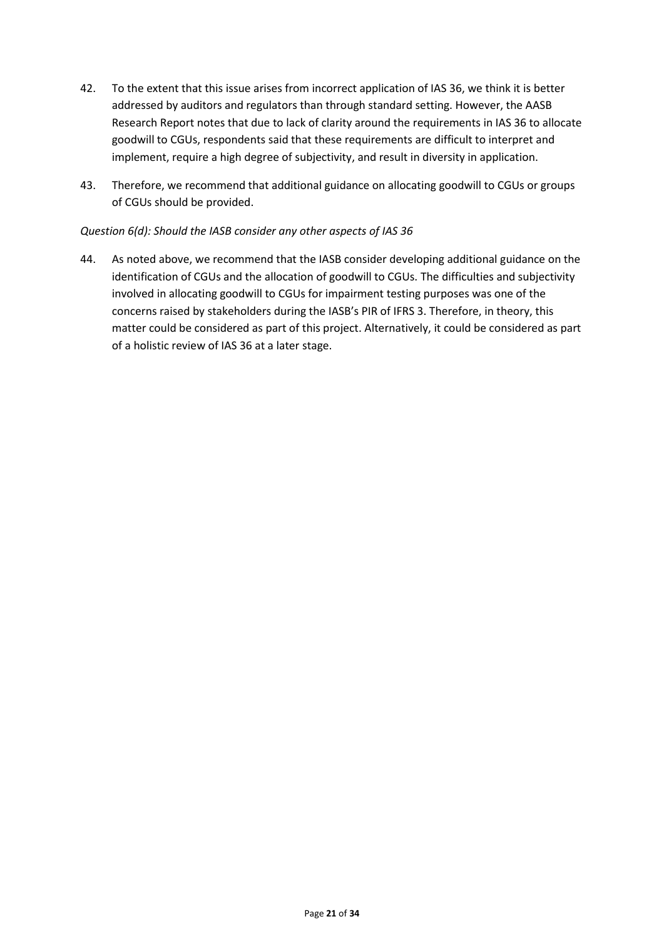- 42. To the extent that this issue arises from incorrect application of IAS 36, we think it is better addressed by auditors and regulators than through standard setting. However, the AASB Research Report notes that due to lack of clarity around the requirements in IAS 36 to allocate goodwill to CGUs, respondents said that these requirements are difficult to interpret and implement, require a high degree of subjectivity, and result in diversity in application.
- 43. Therefore, we recommend that additional guidance on allocating goodwill to CGUs or groups of CGUs should be provided.

### *Question 6(d): Should the IASB consider any other aspects of IAS 36*

44. As noted above, we recommend that the IASB consider developing additional guidance on the identification of CGUs and the allocation of goodwill to CGUs. The difficulties and subjectivity involved in allocating goodwill to CGUs for impairment testing purposes was one of the concerns raised by stakeholders during the IASB's PIR of IFRS 3. Therefore, in theory, this matter could be considered as part of this project. Alternatively, it could be considered as part of a holistic review of IAS 36 at a later stage.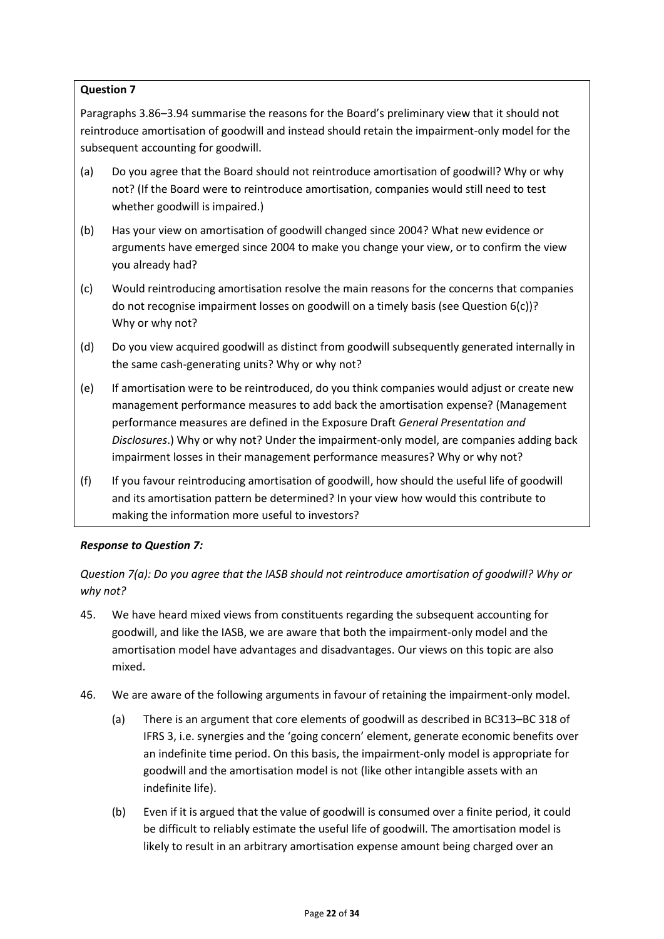Paragraphs 3.86–3.94 summarise the reasons for the Board's preliminary view that it should not reintroduce amortisation of goodwill and instead should retain the impairment-only model for the subsequent accounting for goodwill.

- (a) Do you agree that the Board should not reintroduce amortisation of goodwill? Why or why not? (If the Board were to reintroduce amortisation, companies would still need to test whether goodwill is impaired.)
- (b) Has your view on amortisation of goodwill changed since 2004? What new evidence or arguments have emerged since 2004 to make you change your view, or to confirm the view you already had?
- (c) Would reintroducing amortisation resolve the main reasons for the concerns that companies do not recognise impairment losses on goodwill on a timely basis (see Question 6(c))? Why or why not?
- (d) Do you view acquired goodwill as distinct from goodwill subsequently generated internally in the same cash-generating units? Why or why not?
- (e) If amortisation were to be reintroduced, do you think companies would adjust or create new management performance measures to add back the amortisation expense? (Management performance measures are defined in the Exposure Draft *General Presentation and Disclosures*.) Why or why not? Under the impairment-only model, are companies adding back impairment losses in their management performance measures? Why or why not?
- (f) If you favour reintroducing amortisation of goodwill, how should the useful life of goodwill and its amortisation pattern be determined? In your view how would this contribute to making the information more useful to investors?

# *Response to Question 7:*

*Question 7(a): Do you agree that the IASB should not reintroduce amortisation of goodwill? Why or why not?* 

- 45. We have heard mixed views from constituents regarding the subsequent accounting for goodwill, and like the IASB, we are aware that both the impairment-only model and the amortisation model have advantages and disadvantages. Our views on this topic are also mixed.
- 46. We are aware of the following arguments in favour of retaining the impairment-only model.
	- (a) There is an argument that core elements of goodwill as described in BC313–BC 318 of IFRS 3, i.e. synergies and the 'going concern' element, generate economic benefits over an indefinite time period. On this basis, the impairment-only model is appropriate for goodwill and the amortisation model is not (like other intangible assets with an indefinite life).
	- (b) Even if it is argued that the value of goodwill is consumed over a finite period, it could be difficult to reliably estimate the useful life of goodwill. The amortisation model is likely to result in an arbitrary amortisation expense amount being charged over an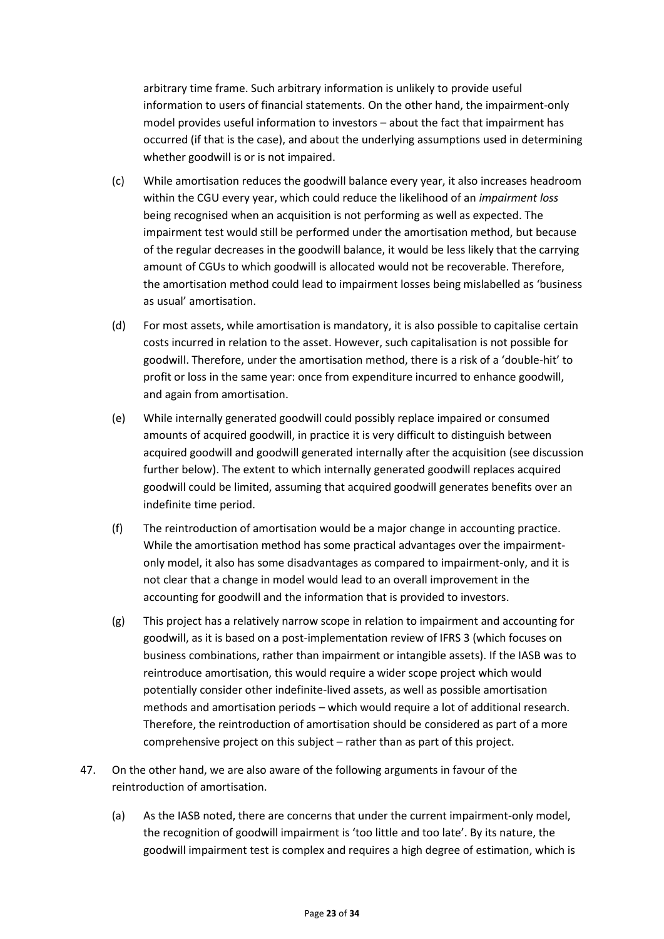arbitrary time frame. Such arbitrary information is unlikely to provide useful information to users of financial statements. On the other hand, the impairment-only model provides useful information to investors – about the fact that impairment has occurred (if that is the case), and about the underlying assumptions used in determining whether goodwill is or is not impaired.

- (c) While amortisation reduces the goodwill balance every year, it also increases headroom within the CGU every year, which could reduce the likelihood of an *impairment loss* being recognised when an acquisition is not performing as well as expected. The impairment test would still be performed under the amortisation method, but because of the regular decreases in the goodwill balance, it would be less likely that the carrying amount of CGUs to which goodwill is allocated would not be recoverable. Therefore, the amortisation method could lead to impairment losses being mislabelled as 'business as usual' amortisation.
- (d) For most assets, while amortisation is mandatory, it is also possible to capitalise certain costs incurred in relation to the asset. However, such capitalisation is not possible for goodwill. Therefore, under the amortisation method, there is a risk of a 'double-hit' to profit or loss in the same year: once from expenditure incurred to enhance goodwill, and again from amortisation.
- (e) While internally generated goodwill could possibly replace impaired or consumed amounts of acquired goodwill, in practice it is very difficult to distinguish between acquired goodwill and goodwill generated internally after the acquisition (see discussion further below). The extent to which internally generated goodwill replaces acquired goodwill could be limited, assuming that acquired goodwill generates benefits over an indefinite time period.
- (f) The reintroduction of amortisation would be a major change in accounting practice. While the amortisation method has some practical advantages over the impairmentonly model, it also has some disadvantages as compared to impairment-only, and it is not clear that a change in model would lead to an overall improvement in the accounting for goodwill and the information that is provided to investors.
- (g) This project has a relatively narrow scope in relation to impairment and accounting for goodwill, as it is based on a post-implementation review of IFRS 3 (which focuses on business combinations, rather than impairment or intangible assets). If the IASB was to reintroduce amortisation, this would require a wider scope project which would potentially consider other indefinite-lived assets, as well as possible amortisation methods and amortisation periods – which would require a lot of additional research. Therefore, the reintroduction of amortisation should be considered as part of a more comprehensive project on this subject – rather than as part of this project.
- 47. On the other hand, we are also aware of the following arguments in favour of the reintroduction of amortisation.
	- (a) As the IASB noted, there are concerns that under the current impairment-only model, the recognition of goodwill impairment is 'too little and too late'. By its nature, the goodwill impairment test is complex and requires a high degree of estimation, which is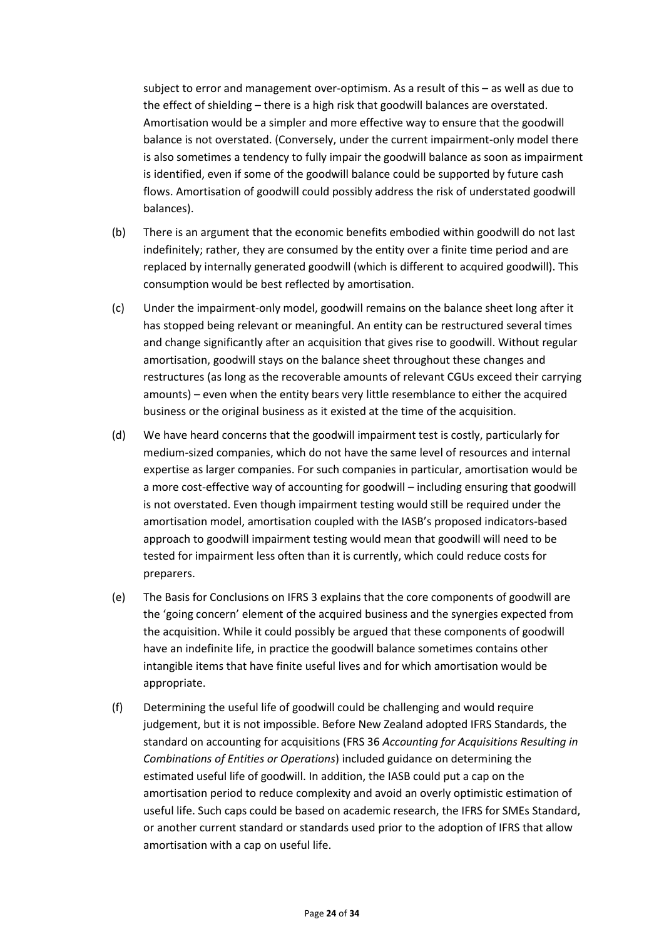subject to error and management over-optimism. As a result of this – as well as due to the effect of shielding – there is a high risk that goodwill balances are overstated. Amortisation would be a simpler and more effective way to ensure that the goodwill balance is not overstated. (Conversely, under the current impairment-only model there is also sometimes a tendency to fully impair the goodwill balance as soon as impairment is identified, even if some of the goodwill balance could be supported by future cash flows. Amortisation of goodwill could possibly address the risk of understated goodwill balances).

- (b) There is an argument that the economic benefits embodied within goodwill do not last indefinitely; rather, they are consumed by the entity over a finite time period and are replaced by internally generated goodwill (which is different to acquired goodwill). This consumption would be best reflected by amortisation.
- (c) Under the impairment-only model, goodwill remains on the balance sheet long after it has stopped being relevant or meaningful. An entity can be restructured several times and change significantly after an acquisition that gives rise to goodwill. Without regular amortisation, goodwill stays on the balance sheet throughout these changes and restructures (as long as the recoverable amounts of relevant CGUs exceed their carrying amounts) – even when the entity bears very little resemblance to either the acquired business or the original business as it existed at the time of the acquisition.
- (d) We have heard concerns that the goodwill impairment test is costly, particularly for medium-sized companies, which do not have the same level of resources and internal expertise as larger companies. For such companies in particular, amortisation would be a more cost-effective way of accounting for goodwill – including ensuring that goodwill is not overstated. Even though impairment testing would still be required under the amortisation model, amortisation coupled with the IASB's proposed indicators-based approach to goodwill impairment testing would mean that goodwill will need to be tested for impairment less often than it is currently, which could reduce costs for preparers.
- (e) The Basis for Conclusions on IFRS 3 explains that the core components of goodwill are the 'going concern' element of the acquired business and the synergies expected from the acquisition. While it could possibly be argued that these components of goodwill have an indefinite life, in practice the goodwill balance sometimes contains other intangible items that have finite useful lives and for which amortisation would be appropriate.
- (f) Determining the useful life of goodwill could be challenging and would require judgement, but it is not impossible. Before New Zealand adopted IFRS Standards, the standard on accounting for acquisitions (FRS 36 *Accounting for Acquisitions Resulting in Combinations of Entities or Operations*) included guidance on determining the estimated useful life of goodwill. In addition, the IASB could put a cap on the amortisation period to reduce complexity and avoid an overly optimistic estimation of useful life. Such caps could be based on academic research, the IFRS for SMEs Standard, or another current standard or standards used prior to the adoption of IFRS that allow amortisation with a cap on useful life.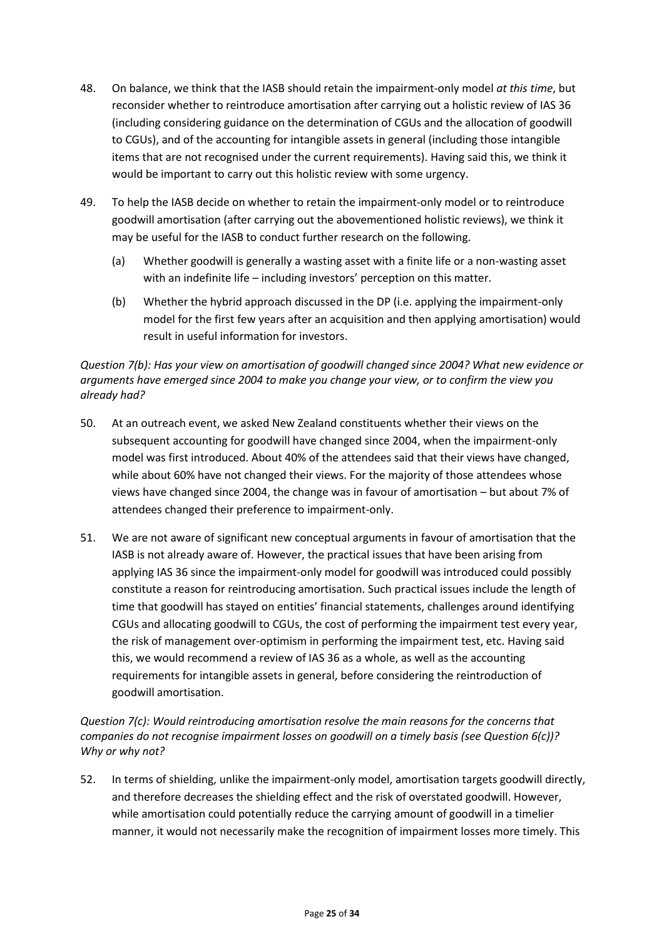- 48. On balance, we think that the IASB should retain the impairment-only model *at this time*, but reconsider whether to reintroduce amortisation after carrying out a holistic review of IAS 36 (including considering guidance on the determination of CGUs and the allocation of goodwill to CGUs), and of the accounting for intangible assets in general (including those intangible items that are not recognised under the current requirements). Having said this, we think it would be important to carry out this holistic review with some urgency.
- 49. To help the IASB decide on whether to retain the impairment-only model or to reintroduce goodwill amortisation (after carrying out the abovementioned holistic reviews), we think it may be useful for the IASB to conduct further research on the following.
	- (a) Whether goodwill is generally a wasting asset with a finite life or a non-wasting asset with an indefinite life – including investors' perception on this matter.
	- (b) Whether the hybrid approach discussed in the DP (i.e. applying the impairment-only model for the first few years after an acquisition and then applying amortisation) would result in useful information for investors.

# *Question 7(b): Has your view on amortisation of goodwill changed since 2004? What new evidence or arguments have emerged since 2004 to make you change your view, or to confirm the view you already had?*

- 50. At an outreach event, we asked New Zealand constituents whether their views on the subsequent accounting for goodwill have changed since 2004, when the impairment-only model was first introduced. About 40% of the attendees said that their views have changed, while about 60% have not changed their views. For the majority of those attendees whose views have changed since 2004, the change was in favour of amortisation – but about 7% of attendees changed their preference to impairment-only.
- 51. We are not aware of significant new conceptual arguments in favour of amortisation that the IASB is not already aware of. However, the practical issues that have been arising from applying IAS 36 since the impairment-only model for goodwill was introduced could possibly constitute a reason for reintroducing amortisation. Such practical issues include the length of time that goodwill has stayed on entities' financial statements, challenges around identifying CGUs and allocating goodwill to CGUs, the cost of performing the impairment test every year, the risk of management over-optimism in performing the impairment test, etc. Having said this, we would recommend a review of IAS 36 as a whole, as well as the accounting requirements for intangible assets in general, before considering the reintroduction of goodwill amortisation.

*Question 7(c): Would reintroducing amortisation resolve the main reasons for the concerns that companies do not recognise impairment losses on goodwill on a timely basis (see Question 6(c))? Why or why not?*

52. In terms of shielding, unlike the impairment-only model, amortisation targets goodwill directly, and therefore decreases the shielding effect and the risk of overstated goodwill. However, while amortisation could potentially reduce the carrying amount of goodwill in a timelier manner, it would not necessarily make the recognition of impairment losses more timely. This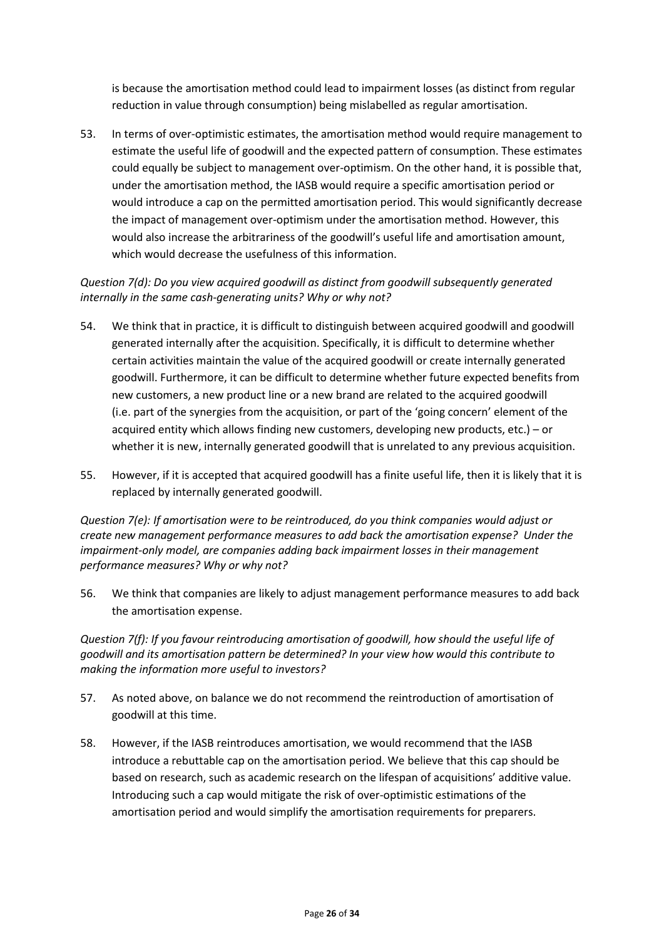is because the amortisation method could lead to impairment losses (as distinct from regular reduction in value through consumption) being mislabelled as regular amortisation.

53. In terms of over-optimistic estimates, the amortisation method would require management to estimate the useful life of goodwill and the expected pattern of consumption. These estimates could equally be subject to management over-optimism. On the other hand, it is possible that, under the amortisation method, the IASB would require a specific amortisation period or would introduce a cap on the permitted amortisation period. This would significantly decrease the impact of management over-optimism under the amortisation method. However, this would also increase the arbitrariness of the goodwill's useful life and amortisation amount, which would decrease the usefulness of this information.

# *Question 7(d): Do you view acquired goodwill as distinct from goodwill subsequently generated internally in the same cash-generating units? Why or why not?*

- 54. We think that in practice, it is difficult to distinguish between acquired goodwill and goodwill generated internally after the acquisition. Specifically, it is difficult to determine whether certain activities maintain the value of the acquired goodwill or create internally generated goodwill. Furthermore, it can be difficult to determine whether future expected benefits from new customers, a new product line or a new brand are related to the acquired goodwill (i.e. part of the synergies from the acquisition, or part of the 'going concern' element of the acquired entity which allows finding new customers, developing new products, etc.) – or whether it is new, internally generated goodwill that is unrelated to any previous acquisition.
- 55. However, if it is accepted that acquired goodwill has a finite useful life, then it is likely that it is replaced by internally generated goodwill.

*Question 7(e): If amortisation were to be reintroduced, do you think companies would adjust or create new management performance measures to add back the amortisation expense? Under the impairment-only model, are companies adding back impairment losses in their management performance measures? Why or why not?*

56. We think that companies are likely to adjust management performance measures to add back the amortisation expense.

*Question 7(f): If you favour reintroducing amortisation of goodwill, how should the useful life of goodwill and its amortisation pattern be determined? In your view how would this contribute to making the information more useful to investors?*

- 57. As noted above, on balance we do not recommend the reintroduction of amortisation of goodwill at this time.
- 58. However, if the IASB reintroduces amortisation, we would recommend that the IASB introduce a rebuttable cap on the amortisation period. We believe that this cap should be based on research, such as academic research on the lifespan of acquisitions' additive value. Introducing such a cap would mitigate the risk of over-optimistic estimations of the amortisation period and would simplify the amortisation requirements for preparers.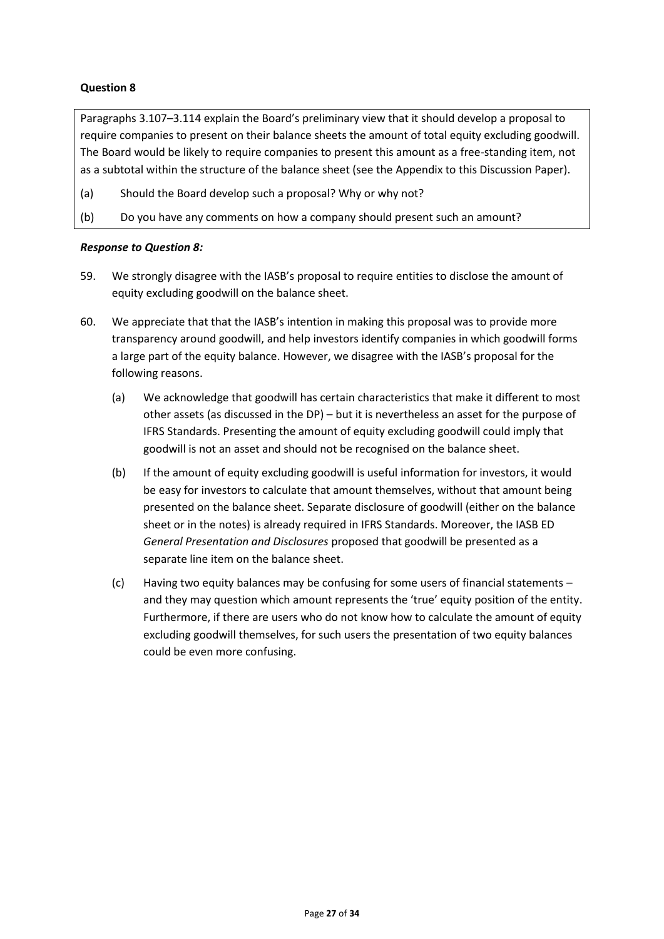Paragraphs 3.107–3.114 explain the Board's preliminary view that it should develop a proposal to require companies to present on their balance sheets the amount of total equity excluding goodwill. The Board would be likely to require companies to present this amount as a free-standing item, not as a subtotal within the structure of the balance sheet (see the Appendix to this Discussion Paper).

- (a) Should the Board develop such a proposal? Why or why not?
- (b) Do you have any comments on how a company should present such an amount?

#### *Response to Question 8:*

- 59. We strongly disagree with the IASB's proposal to require entities to disclose the amount of equity excluding goodwill on the balance sheet.
- 60. We appreciate that that the IASB's intention in making this proposal was to provide more transparency around goodwill, and help investors identify companies in which goodwill forms a large part of the equity balance. However, we disagree with the IASB's proposal for the following reasons.
	- (a) We acknowledge that goodwill has certain characteristics that make it different to most other assets (as discussed in the DP) – but it is nevertheless an asset for the purpose of IFRS Standards. Presenting the amount of equity excluding goodwill could imply that goodwill is not an asset and should not be recognised on the balance sheet.
	- (b) If the amount of equity excluding goodwill is useful information for investors, it would be easy for investors to calculate that amount themselves, without that amount being presented on the balance sheet. Separate disclosure of goodwill (either on the balance sheet or in the notes) is already required in IFRS Standards. Moreover, the IASB ED *General Presentation and Disclosures* proposed that goodwill be presented as a separate line item on the balance sheet.
	- (c) Having two equity balances may be confusing for some users of financial statements and they may question which amount represents the 'true' equity position of the entity. Furthermore, if there are users who do not know how to calculate the amount of equity excluding goodwill themselves, for such users the presentation of two equity balances could be even more confusing.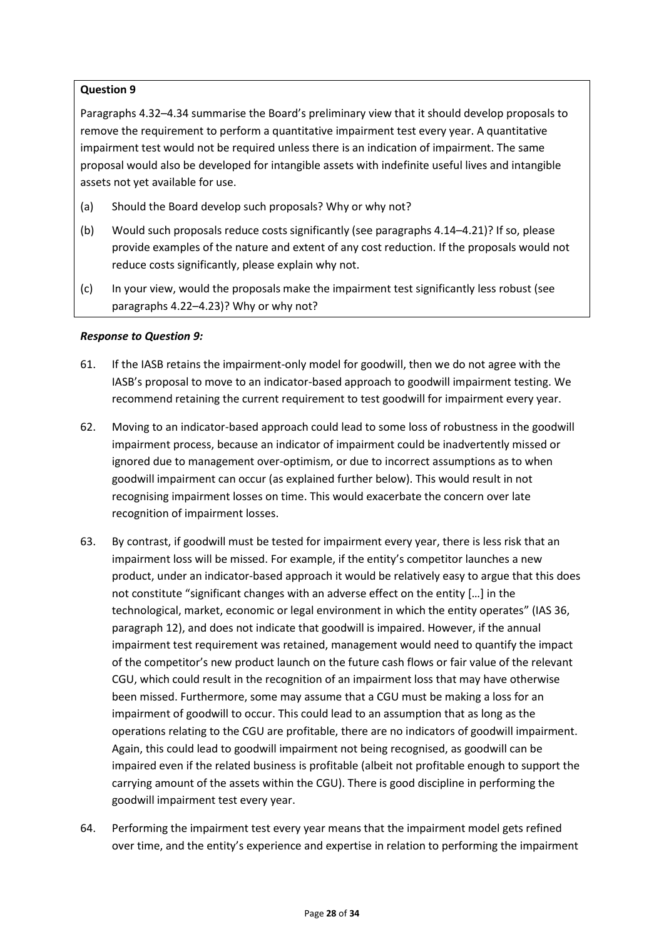Paragraphs 4.32–4.34 summarise the Board's preliminary view that it should develop proposals to remove the requirement to perform a quantitative impairment test every year. A quantitative impairment test would not be required unless there is an indication of impairment. The same proposal would also be developed for intangible assets with indefinite useful lives and intangible assets not yet available for use.

- (a) Should the Board develop such proposals? Why or why not?
- (b) Would such proposals reduce costs significantly (see paragraphs 4.14–4.21)? If so, please provide examples of the nature and extent of any cost reduction. If the proposals would not reduce costs significantly, please explain why not.
- (c) In your view, would the proposals make the impairment test significantly less robust (see paragraphs 4.22–4.23)? Why or why not?

### *Response to Question 9:*

- 61. If the IASB retains the impairment-only model for goodwill, then we do not agree with the IASB's proposal to move to an indicator-based approach to goodwill impairment testing. We recommend retaining the current requirement to test goodwill for impairment every year.
- 62. Moving to an indicator-based approach could lead to some loss of robustness in the goodwill impairment process, because an indicator of impairment could be inadvertently missed or ignored due to management over-optimism, or due to incorrect assumptions as to when goodwill impairment can occur (as explained further below). This would result in not recognising impairment losses on time. This would exacerbate the concern over late recognition of impairment losses.
- 63. By contrast, if goodwill must be tested for impairment every year, there is less risk that an impairment loss will be missed. For example, if the entity's competitor launches a new product, under an indicator-based approach it would be relatively easy to argue that this does not constitute "significant changes with an adverse effect on the entity […] in the technological, market, economic or legal environment in which the entity operates" (IAS 36, paragraph 12), and does not indicate that goodwill is impaired. However, if the annual impairment test requirement was retained, management would need to quantify the impact of the competitor's new product launch on the future cash flows or fair value of the relevant CGU, which could result in the recognition of an impairment loss that may have otherwise been missed. Furthermore, some may assume that a CGU must be making a loss for an impairment of goodwill to occur. This could lead to an assumption that as long as the operations relating to the CGU are profitable, there are no indicators of goodwill impairment. Again, this could lead to goodwill impairment not being recognised, as goodwill can be impaired even if the related business is profitable (albeit not profitable enough to support the carrying amount of the assets within the CGU). There is good discipline in performing the goodwill impairment test every year.
- 64. Performing the impairment test every year means that the impairment model gets refined over time, and the entity's experience and expertise in relation to performing the impairment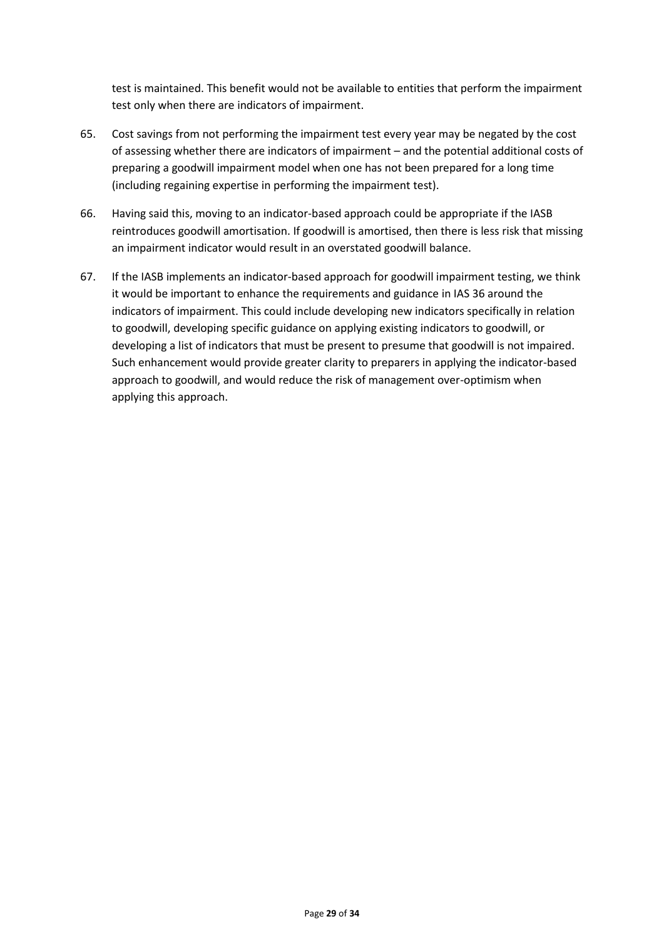test is maintained. This benefit would not be available to entities that perform the impairment test only when there are indicators of impairment.

- 65. Cost savings from not performing the impairment test every year may be negated by the cost of assessing whether there are indicators of impairment – and the potential additional costs of preparing a goodwill impairment model when one has not been prepared for a long time (including regaining expertise in performing the impairment test).
- 66. Having said this, moving to an indicator-based approach could be appropriate if the IASB reintroduces goodwill amortisation. If goodwill is amortised, then there is less risk that missing an impairment indicator would result in an overstated goodwill balance.
- 67. If the IASB implements an indicator-based approach for goodwill impairment testing, we think it would be important to enhance the requirements and guidance in IAS 36 around the indicators of impairment. This could include developing new indicators specifically in relation to goodwill, developing specific guidance on applying existing indicators to goodwill, or developing a list of indicators that must be present to presume that goodwill is not impaired. Such enhancement would provide greater clarity to preparers in applying the indicator-based approach to goodwill, and would reduce the risk of management over-optimism when applying this approach.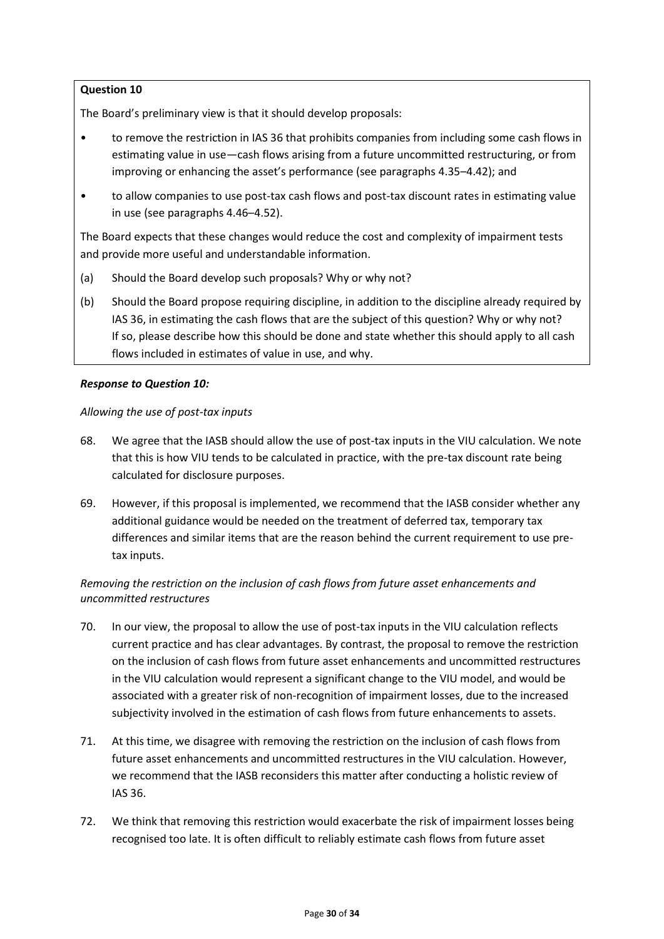The Board's preliminary view is that it should develop proposals:

- to remove the restriction in IAS 36 that prohibits companies from including some cash flows in estimating value in use—cash flows arising from a future uncommitted restructuring, or from improving or enhancing the asset's performance (see paragraphs 4.35–4.42); and
- to allow companies to use post-tax cash flows and post-tax discount rates in estimating value in use (see paragraphs 4.46–4.52).

The Board expects that these changes would reduce the cost and complexity of impairment tests and provide more useful and understandable information.

- (a) Should the Board develop such proposals? Why or why not?
- (b) Should the Board propose requiring discipline, in addition to the discipline already required by IAS 36, in estimating the cash flows that are the subject of this question? Why or why not? If so, please describe how this should be done and state whether this should apply to all cash flows included in estimates of value in use, and why.

#### *Response to Question 10:*

#### *Allowing the use of post-tax inputs*

- 68. We agree that the IASB should allow the use of post-tax inputs in the VIU calculation. We note that this is how VIU tends to be calculated in practice, with the pre-tax discount rate being calculated for disclosure purposes.
- 69. However, if this proposal is implemented, we recommend that the IASB consider whether any additional guidance would be needed on the treatment of deferred tax, temporary tax differences and similar items that are the reason behind the current requirement to use pretax inputs.

# *Removing the restriction on the inclusion of cash flows from future asset enhancements and uncommitted restructures*

- 70. In our view, the proposal to allow the use of post-tax inputs in the VIU calculation reflects current practice and has clear advantages. By contrast, the proposal to remove the restriction on the inclusion of cash flows from future asset enhancements and uncommitted restructures in the VIU calculation would represent a significant change to the VIU model, and would be associated with a greater risk of non-recognition of impairment losses, due to the increased subjectivity involved in the estimation of cash flows from future enhancements to assets.
- 71. At this time, we disagree with removing the restriction on the inclusion of cash flows from future asset enhancements and uncommitted restructures in the VIU calculation. However, we recommend that the IASB reconsiders this matter after conducting a holistic review of IAS 36.
- 72. We think that removing this restriction would exacerbate the risk of impairment losses being recognised too late. It is often difficult to reliably estimate cash flows from future asset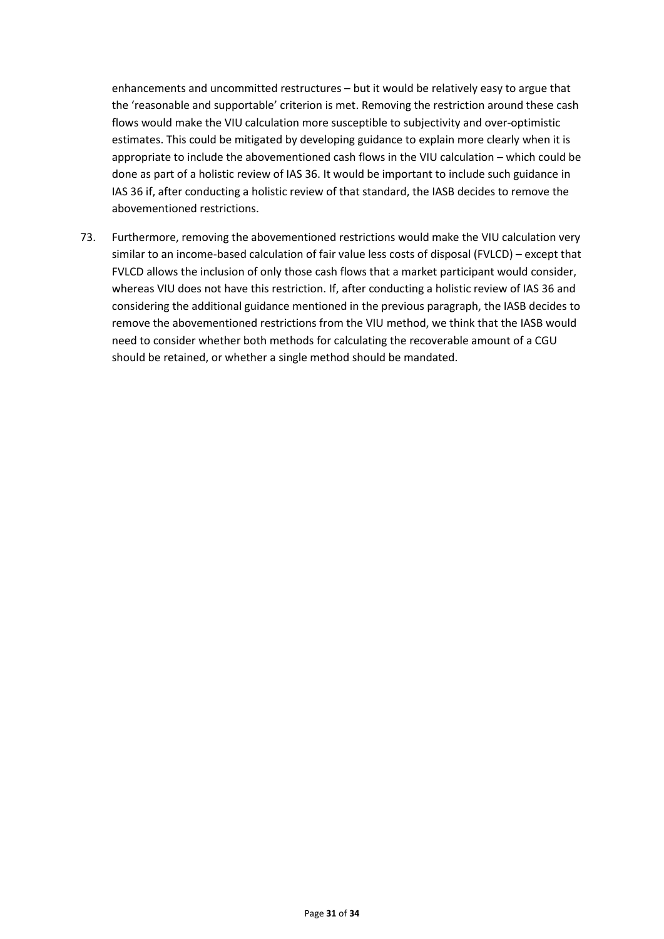enhancements and uncommitted restructures – but it would be relatively easy to argue that the 'reasonable and supportable' criterion is met. Removing the restriction around these cash flows would make the VIU calculation more susceptible to subjectivity and over-optimistic estimates. This could be mitigated by developing guidance to explain more clearly when it is appropriate to include the abovementioned cash flows in the VIU calculation – which could be done as part of a holistic review of IAS 36. It would be important to include such guidance in IAS 36 if, after conducting a holistic review of that standard, the IASB decides to remove the abovementioned restrictions.

73. Furthermore, removing the abovementioned restrictions would make the VIU calculation very similar to an income-based calculation of fair value less costs of disposal (FVLCD) – except that FVLCD allows the inclusion of only those cash flows that a market participant would consider, whereas VIU does not have this restriction. If, after conducting a holistic review of IAS 36 and considering the additional guidance mentioned in the previous paragraph, the IASB decides to remove the abovementioned restrictions from the VIU method, we think that the IASB would need to consider whether both methods for calculating the recoverable amount of a CGU should be retained, or whether a single method should be mandated.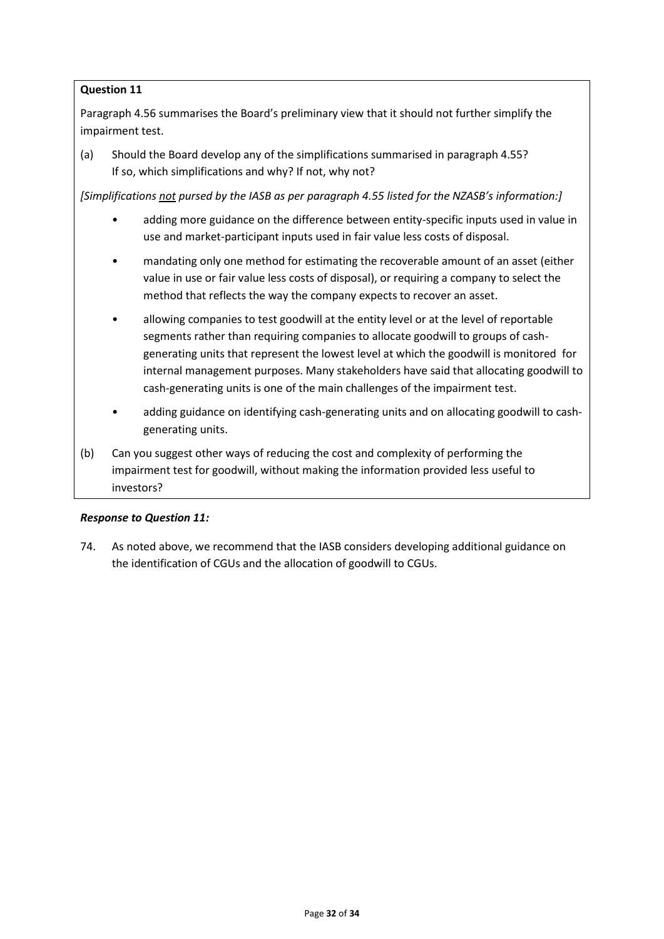Paragraph 4.56 summarises the Board's preliminary view that it should not further simplify the impairment test.

(a) Should the Board develop any of the simplifications summarised in paragraph 4.55? If so, which simplifications and why? If not, why not?

*[Simplifications not pursed by the IASB as per paragraph 4.55 listed for the NZASB's information:]*

- adding more guidance on the difference between entity-specific inputs used in value in use and market-participant inputs used in fair value less costs of disposal.
- mandating only one method for estimating the recoverable amount of an asset (either value in use or fair value less costs of disposal), or requiring a company to select the method that reflects the way the company expects to recover an asset.
- allowing companies to test goodwill at the entity level or at the level of reportable segments rather than requiring companies to allocate goodwill to groups of cashgenerating units that represent the lowest level at which the goodwill is monitored for internal management purposes. Many stakeholders have said that allocating goodwill to cash-generating units is one of the main challenges of the impairment test.
- adding guidance on identifying cash-generating units and on allocating goodwill to cashgenerating units.
- (b) Can you suggest other ways of reducing the cost and complexity of performing the impairment test for goodwill, without making the information provided less useful to investors?

#### *Response to Question 11:*

74. As noted above, we recommend that the IASB considers developing additional guidance on the identification of CGUs and the allocation of goodwill to CGUs.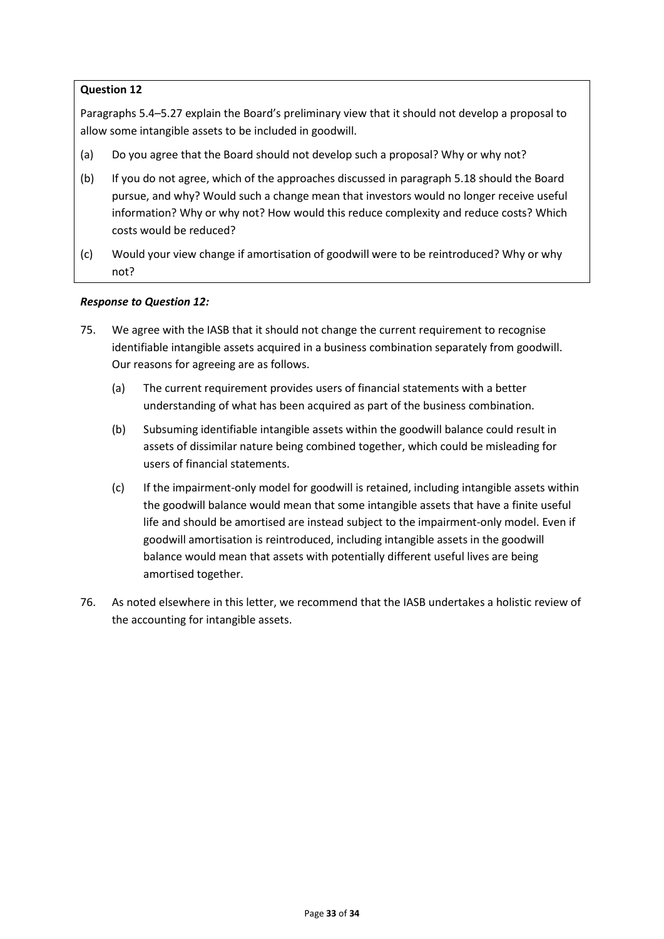Paragraphs 5.4–5.27 explain the Board's preliminary view that it should not develop a proposal to allow some intangible assets to be included in goodwill.

- (a) Do you agree that the Board should not develop such a proposal? Why or why not?
- (b) If you do not agree, which of the approaches discussed in paragraph 5.18 should the Board pursue, and why? Would such a change mean that investors would no longer receive useful information? Why or why not? How would this reduce complexity and reduce costs? Which costs would be reduced?
- (c) Would your view change if amortisation of goodwill were to be reintroduced? Why or why not?

### *Response to Question 12:*

- 75. We agree with the IASB that it should not change the current requirement to recognise identifiable intangible assets acquired in a business combination separately from goodwill. Our reasons for agreeing are as follows.
	- (a) The current requirement provides users of financial statements with a better understanding of what has been acquired as part of the business combination.
	- (b) Subsuming identifiable intangible assets within the goodwill balance could result in assets of dissimilar nature being combined together, which could be misleading for users of financial statements.
	- (c) If the impairment-only model for goodwill is retained, including intangible assets within the goodwill balance would mean that some intangible assets that have a finite useful life and should be amortised are instead subject to the impairment-only model. Even if goodwill amortisation is reintroduced, including intangible assets in the goodwill balance would mean that assets with potentially different useful lives are being amortised together.
- 76. As noted elsewhere in this letter, we recommend that the IASB undertakes a holistic review of the accounting for intangible assets.